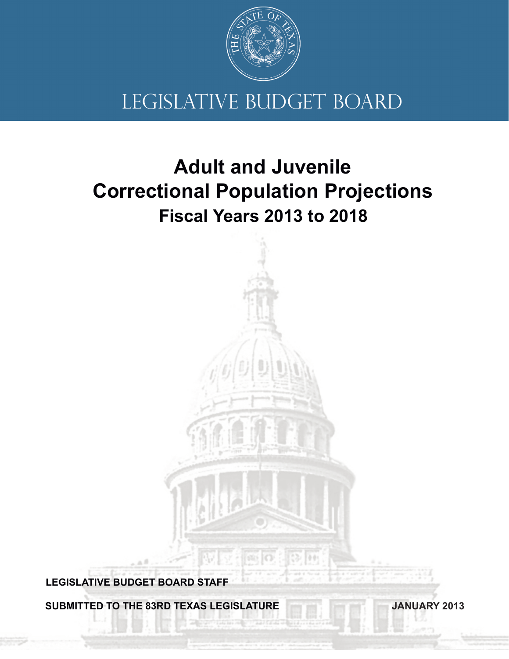

# LEGISLATIVE BUDGET BOARD

# **Fiscal Years 2013 to 2018 Adult and Juvenile Correctional Population Projections**

**LEGISLATIVE BUDGET BOARD STAFF**

**SUBMITTED TO THE 83RD TEXAS LEGISLATURE**

**JANUARY 2013**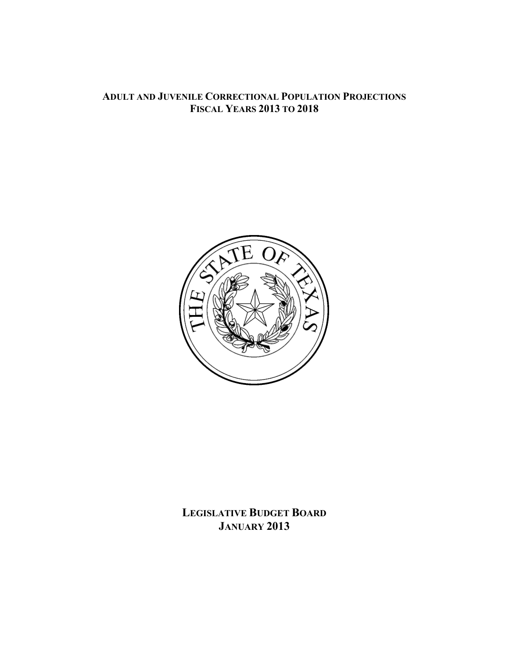## **ADULT AND JUVENILE CORRECTIONAL POPULATION PROJECTIONS FISCAL YEARS 2013 TO 2018**



**LEGISLATIVE BUDGET BOARD JANUARY 2013**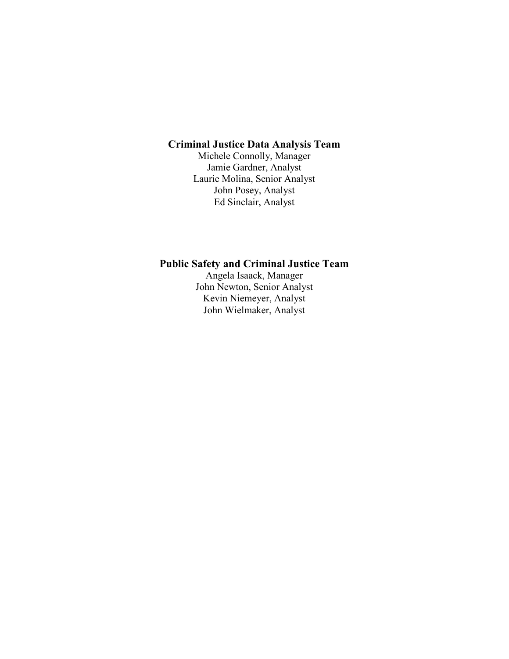## **Criminal Justice Data Analysis Team**

Michele Connolly, Manager Jamie Gardner, Analyst Laurie Molina, Senior Analyst John Posey, Analyst Ed Sinclair, Analyst

## **Public Safety and Criminal Justice Team**

Angela Isaack, Manager John Newton, Senior Analyst Kevin Niemeyer, Analyst John Wielmaker, Analyst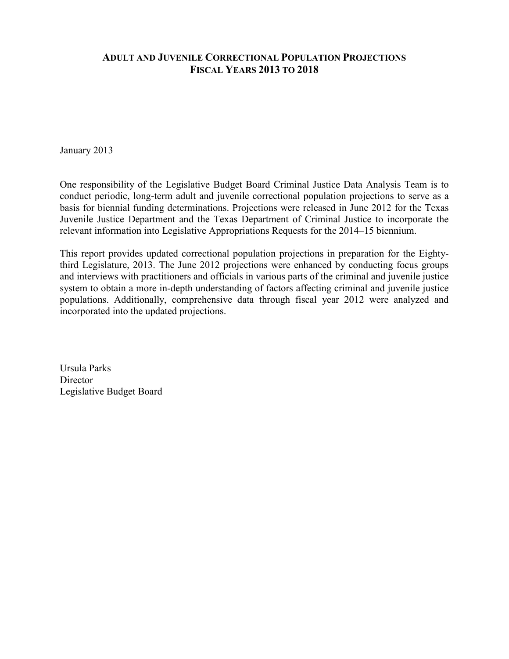## **ADULT AND JUVENILE CORRECTIONAL POPULATION PROJECTIONS FISCAL YEARS 2013 TO 2018**

January 2013

One responsibility of the Legislative Budget Board Criminal Justice Data Analysis Team is to conduct periodic, long-term adult and juvenile correctional population projections to serve as a basis for biennial funding determinations. Projections were released in June 2012 for the Texas Juvenile Justice Department and the Texas Department of Criminal Justice to incorporate the relevant information into Legislative Appropriations Requests for the 2014–15 biennium.

This report provides updated correctional population projections in preparation for the Eightythird Legislature, 2013. The June 2012 projections were enhanced by conducting focus groups and interviews with practitioners and officials in various parts of the criminal and juvenile justice system to obtain a more in-depth understanding of factors affecting criminal and juvenile justice populations. Additionally, comprehensive data through fiscal year 2012 were analyzed and incorporated into the updated projections.

Ursula Parks **Director** Legislative Budget Board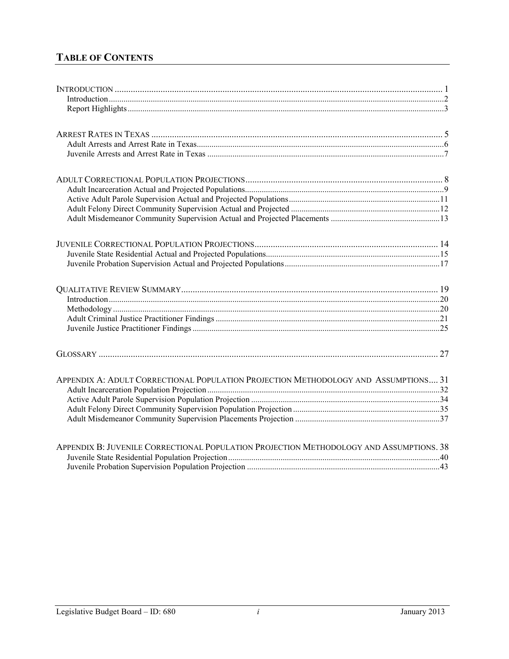# **TABLE OF CONTENTS**

| APPENDIX A: ADULT CORRECTIONAL POPULATION PROJECTION METHODOLOGY AND ASSUMPTIONS 31     |  |
|-----------------------------------------------------------------------------------------|--|
|                                                                                         |  |
|                                                                                         |  |
|                                                                                         |  |
|                                                                                         |  |
| APPENDIX B: JUVENILE CORRECTIONAL POPULATION PROJECTION METHODOLOGY AND ASSUMPTIONS. 38 |  |
|                                                                                         |  |
|                                                                                         |  |
|                                                                                         |  |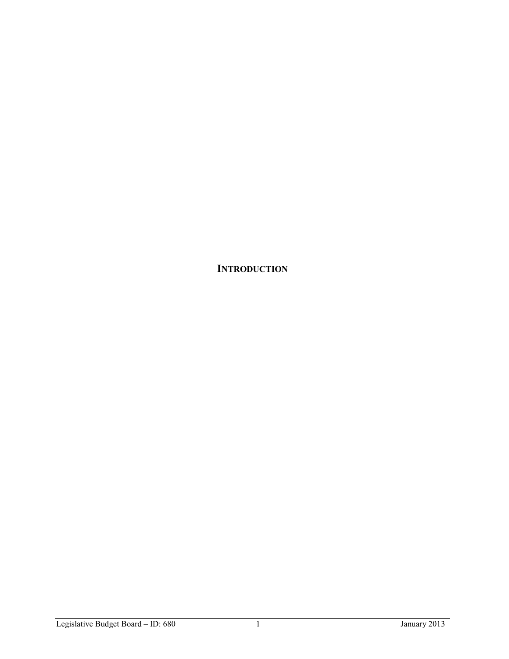**INTRODUCTION**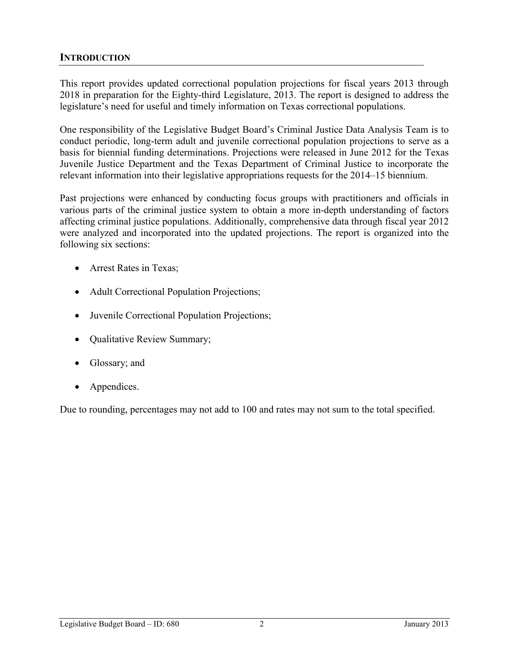## **INTRODUCTION**

This report provides updated correctional population projections for fiscal years 2013 through 2018 in preparation for the Eighty-third Legislature, 2013. The report is designed to address the legislature's need for useful and timely information on Texas correctional populations.

One responsibility of the Legislative Budget Board's Criminal Justice Data Analysis Team is to conduct periodic, long-term adult and juvenile correctional population projections to serve as a basis for biennial funding determinations. Projections were released in June 2012 for the Texas Juvenile Justice Department and the Texas Department of Criminal Justice to incorporate the relevant information into their legislative appropriations requests for the 2014–15 biennium.

Past projections were enhanced by conducting focus groups with practitioners and officials in various parts of the criminal justice system to obtain a more in-depth understanding of factors affecting criminal justice populations. Additionally, comprehensive data through fiscal year 2012 were analyzed and incorporated into the updated projections. The report is organized into the following six sections:

- Arrest Rates in Texas;
- Adult Correctional Population Projections;
- Juvenile Correctional Population Projections;
- Qualitative Review Summary;
- Glossary; and
- Appendices.

Due to rounding, percentages may not add to 100 and rates may not sum to the total specified.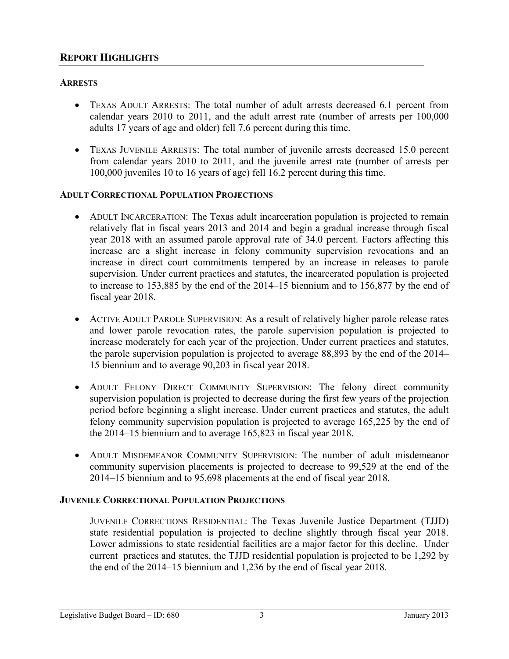## **REPORT HIGHLIGHTS**

## **ARRESTS**

- TEXAS ADULT ARRESTS: The total number of adult arrests decreased 6.1 percent from calendar years 2010 to 2011, and the adult arrest rate (number of arrests per 100,000 adults 17 years of age and older) fell 7.6 percent during this time.
- TEXAS JUVENILE ARRESTS: The total number of juvenile arrests decreased 15.0 percent from calendar years 2010 to 2011, and the juvenile arrest rate (number of arrests per 100,000 juveniles 10 to 16 years of age) fell 16.2 percent during this time.

### **ADULT CORRECTIONAL POPULATION PROJECTIONS**

- ADULT INCARCERATION: The Texas adult incarceration population is projected to remain relatively flat in fiscal years 2013 and 2014 and begin a gradual increase through fiscal year 2018 with an assumed parole approval rate of 34.0 percent. Factors affecting this increase are a slight increase in felony community supervision revocations and an increase in direct court commitments tempered by an increase in releases to parole supervision. Under current practices and statutes, the incarcerated population is projected to increase to 153,885 by the end of the 2014–15 biennium and to 156,877 by the end of fiscal year 2018.
- ACTIVE ADULT PAROLE SUPERVISION: As a result of relatively higher parole release rates and lower parole revocation rates, the parole supervision population is projected to increase moderately for each year of the projection. Under current practices and statutes, the parole supervision population is projected to average 88,893 by the end of the 2014– 15 biennium and to average 90,203 in fiscal year 2018.
- ADULT FELONY DIRECT COMMUNITY SUPERVISION: The felony direct community supervision population is projected to decrease during the first few years of the projection period before beginning a slight increase. Under current practices and statutes, the adult felony community supervision population is projected to average 165,225 by the end of the 2014–15 biennium and to average 165,823 in fiscal year 2018.
- ADULT MISDEMEANOR COMMUNITY SUPERVISION: The number of adult misdemeanor community supervision placements is projected to decrease to 99,529 at the end of the 2014–15 biennium and to 95,698 placements at the end of fiscal year 2018.

### **JUVENILE CORRECTIONAL POPULATION PROJECTIONS**

JUVENILE CORRECTIONS RESIDENTIAL: The Texas Juvenile Justice Department (TJJD) state residential population is projected to decline slightly through fiscal year 2018. Lower admissions to state residential facilities are a major factor for this decline. Under current practices and statutes, the TJJD residential population is projected to be 1,292 by the end of the 2014–15 biennium and 1,236 by the end of fiscal year 2018.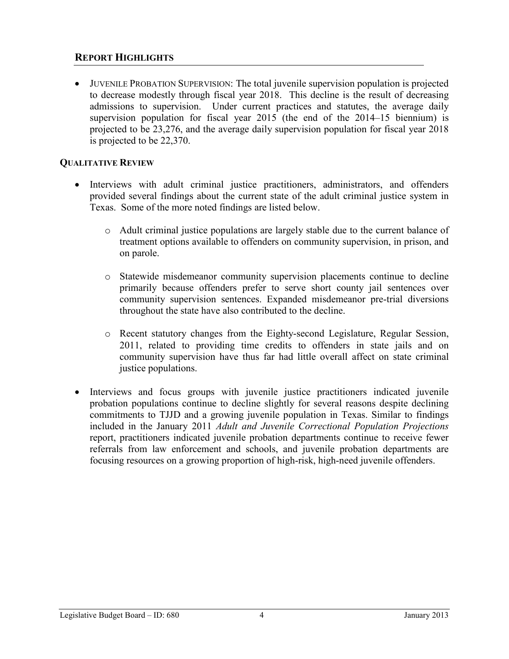## **REPORT HIGHLIGHTS**

• JUVENILE PROBATION SUPERVISION: The total juvenile supervision population is projected to decrease modestly through fiscal year 2018. This decline is the result of decreasing admissions to supervision. Under current practices and statutes, the average daily supervision population for fiscal year 2015 (the end of the 2014–15 biennium) is projected to be 23,276, and the average daily supervision population for fiscal year 2018 is projected to be 22,370.

## **QUALITATIVE REVIEW**

- Interviews with adult criminal justice practitioners, administrators, and offenders provided several findings about the current state of the adult criminal justice system in Texas. Some of the more noted findings are listed below.
	- o Adult criminal justice populations are largely stable due to the current balance of treatment options available to offenders on community supervision, in prison, and on parole.
	- o Statewide misdemeanor community supervision placements continue to decline primarily because offenders prefer to serve short county jail sentences over community supervision sentences. Expanded misdemeanor pre-trial diversions throughout the state have also contributed to the decline.
	- o Recent statutory changes from the Eighty-second Legislature, Regular Session, 2011, related to providing time credits to offenders in state jails and on community supervision have thus far had little overall affect on state criminal justice populations.
- Interviews and focus groups with juvenile justice practitioners indicated juvenile probation populations continue to decline slightly for several reasons despite declining commitments to TJJD and a growing juvenile population in Texas. Similar to findings included in the January 2011 *Adult and Juvenile Correctional Population Projections* report, practitioners indicated juvenile probation departments continue to receive fewer referrals from law enforcement and schools, and juvenile probation departments are focusing resources on a growing proportion of high-risk, high-need juvenile offenders.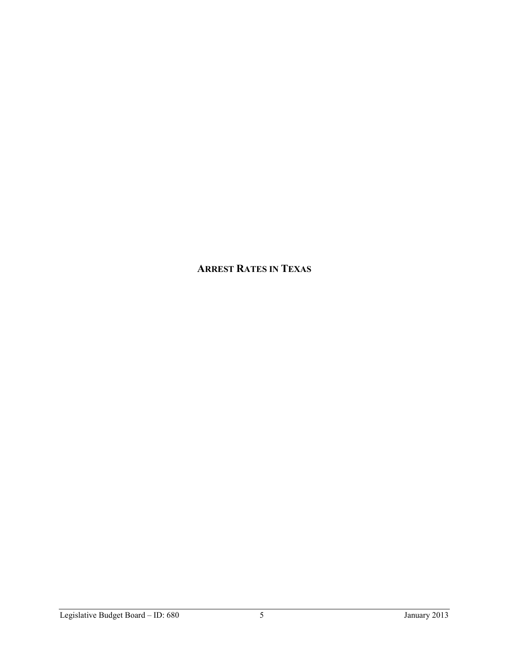# **ARREST RATES IN TEXAS**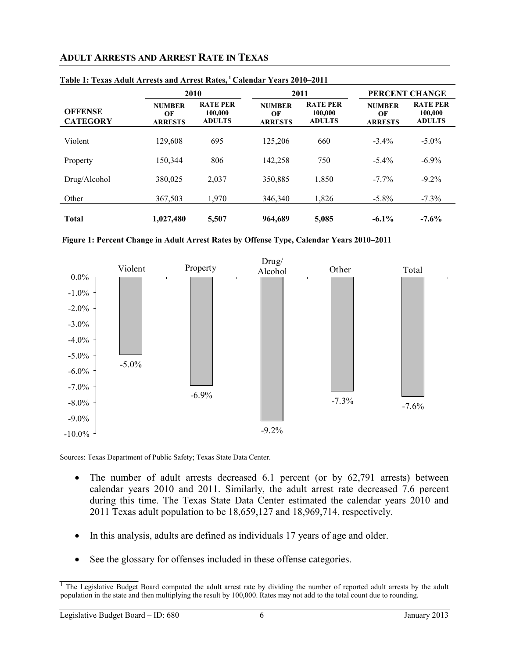# **ADULT ARRESTS AND ARREST RATE IN TEXAS**

|                                   |                                       | 2010<br>2011                                |                                       |                                             |                                       | PERCENT CHANGE                              |  |
|-----------------------------------|---------------------------------------|---------------------------------------------|---------------------------------------|---------------------------------------------|---------------------------------------|---------------------------------------------|--|
| <b>OFFENSE</b><br><b>CATEGORY</b> | <b>NUMBER</b><br>OF<br><b>ARRESTS</b> | <b>RATE PER</b><br>100,000<br><b>ADULTS</b> | <b>NUMBER</b><br>OF<br><b>ARRESTS</b> | <b>RATE PER</b><br>100,000<br><b>ADULTS</b> | <b>NUMBER</b><br>OF<br><b>ARRESTS</b> | <b>RATE PER</b><br>100,000<br><b>ADULTS</b> |  |
| Violent                           | 129,608                               | 695                                         | 125.206                               | 660                                         | $-3.4\%$                              | $-5.0\%$                                    |  |
| Property                          | 150.344                               | 806                                         | 142,258                               | 750                                         | $-5.4\%$                              | $-6.9\%$                                    |  |
| Drug/Alcohol                      | 380,025                               | 2,037                                       | 350,885                               | 1,850                                       | $-7.7\%$                              | $-9.2\%$                                    |  |
| Other                             | 367,503                               | 1,970                                       | 346,340                               | 1,826                                       | $-5.8\%$                              | $-7.3%$                                     |  |
| <b>Total</b>                      | 1,027,480                             | 5,507                                       | 964,689                               | 5,085                                       | $-6.1\%$                              | $-7.6%$                                     |  |

#### **Table 1: Texas Adult Arrests and Arrest Rates, <sup>1</sup> Calendar Years 2010–2011**





Sources: Texas Department of Public Safety; Texas State Data Center.

- The number of adult arrests decreased 6.1 percent (or by  $62,791$  arrests) between calendar years 2010 and 2011. Similarly, the adult arrest rate decreased 7.6 percent during this time. The Texas State Data Center estimated the calendar years 2010 and 2011 Texas adult population to be 18,659,127 and 18,969,714, respectively.
- In this analysis, adults are defined as individuals 17 years of age and older.
- See the glossary for offenses included in these offense categories.

<sup>&</sup>lt;sup>1</sup> The Legislative Budget Board computed the adult arrest rate by dividing the number of reported adult arrests by the adult population in the state and then multiplying the result by 100,000. Rates may not add to the total count due to rounding.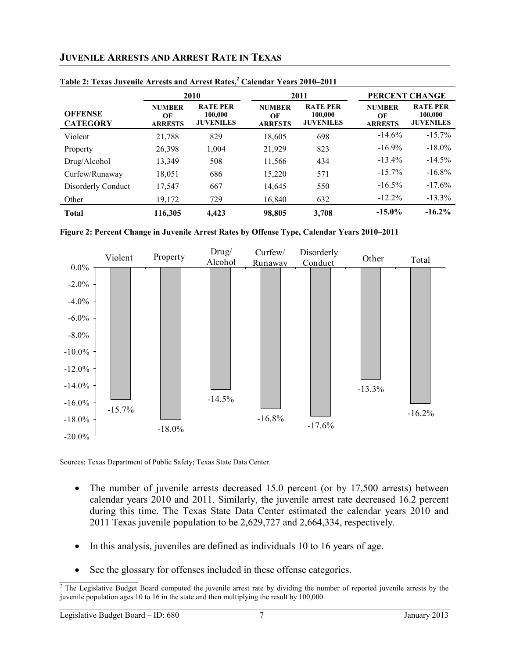## **JUVENILE ARRESTS AND ARREST RATE IN TEXAS**

|                                   | 2010                                  |                                                | 2011                                  |                                                | PERCENT CHANGE                        |                                                |
|-----------------------------------|---------------------------------------|------------------------------------------------|---------------------------------------|------------------------------------------------|---------------------------------------|------------------------------------------------|
| <b>OFFENSE</b><br><b>CATEGORY</b> | <b>NUMBER</b><br>OF<br><b>ARRESTS</b> | <b>RATE PER</b><br>100,000<br><b>JUVENILES</b> | <b>NUMBER</b><br>OF<br><b>ARRESTS</b> | <b>RATE PER</b><br>100,000<br><b>JUVENILES</b> | <b>NUMBER</b><br>OF<br><b>ARRESTS</b> | <b>RATE PER</b><br>100,000<br><b>JUVENILES</b> |
| Violent                           | 21,788                                | 829                                            | 18,605                                | 698                                            | $-14.6%$                              | $-15.7\%$                                      |
| Property                          | 26,398                                | 1,004                                          | 21,929                                | 823                                            | $-16.9\%$                             | $-18.0\%$                                      |
| Drug/Alcohol                      | 13,349                                | 508                                            | 11,566                                | 434                                            | $-13.4%$                              | $-14.5%$                                       |
| Curfew/Runaway                    | 18,051                                | 686                                            | 15,220                                | 571                                            | $-15.7\%$                             | $-16.8\%$                                      |
| Disorderly Conduct                | 17,547                                | 667                                            | 14,645                                | 550                                            | $-16.5%$                              | $-17.6%$                                       |
| Other                             | 19,172                                | 729                                            | 16,840                                | 632                                            | $-12.2\%$                             | $-13.3\%$                                      |
| <b>Total</b>                      | 116,305                               | 4,423                                          | 98,805                                | 3,708                                          | $-15.0\%$                             | $-16.2%$                                       |

| Table 2: Texas Juvenile Arrests and Arrest Rates, <sup>2</sup> Calendar Years 2010–2011 |  |
|-----------------------------------------------------------------------------------------|--|
|-----------------------------------------------------------------------------------------|--|



Sources: Texas Department of Public Safety; Texas State Data Center.

- The number of juvenile arrests decreased 15.0 percent (or by 17,500 arrests) between calendar years 2010 and 2011. Similarly, the juvenile arrest rate decreased 16.2 percent during this time. The Texas State Data Center estimated the calendar years 2010 and 2011 Texas juvenile population to be 2,629,727 and 2,664,334, respectively.
- In this analysis, juveniles are defined as individuals 10 to 16 years of age.
- See the glossary for offenses included in these offense categories.

 $\sqrt{2}$  The Legislative Budget Board computed the juvenile arrest rate by dividing the number of reported juvenile arrests by the juvenile population ages 10 to 16 in the state and then multiplying the result by 100,000.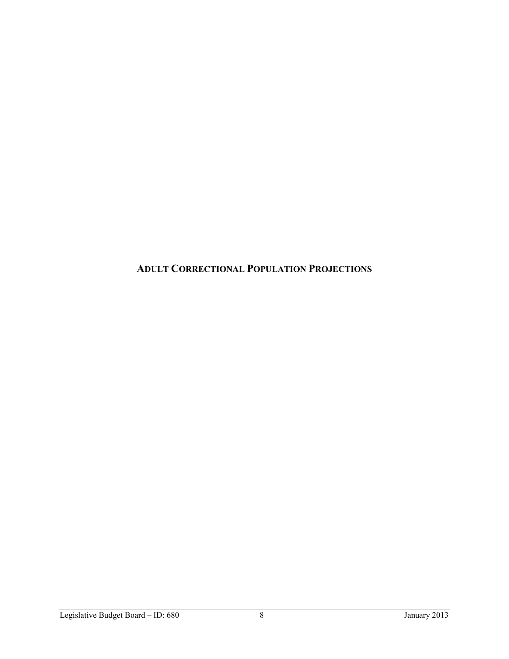**ADULT CORRECTIONAL POPULATION PROJECTIONS**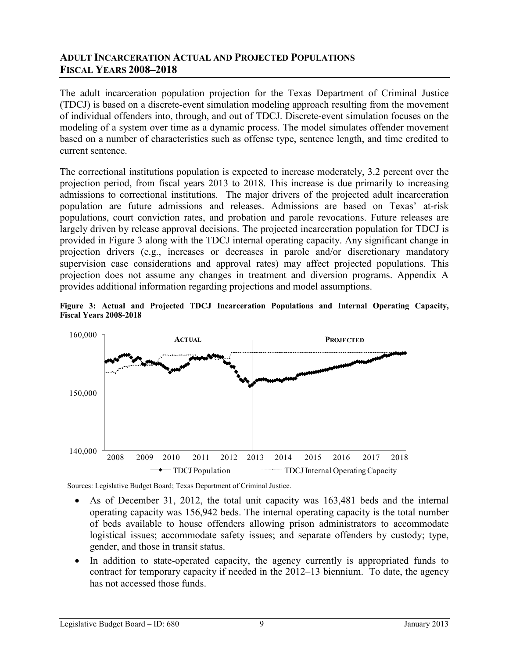## **ADULT INCARCERATION ACTUAL AND PROJECTED POPULATIONS FISCAL YEARS 2008–2018**

The adult incarceration population projection for the Texas Department of Criminal Justice (TDCJ) is based on a discrete-event simulation modeling approach resulting from the movement of individual offenders into, through, and out of TDCJ. Discrete-event simulation focuses on the modeling of a system over time as a dynamic process. The model simulates offender movement based on a number of characteristics such as offense type, sentence length, and time credited to current sentence.

The correctional institutions population is expected to increase moderately, 3.2 percent over the projection period, from fiscal years 2013 to 2018. This increase is due primarily to increasing admissions to correctional institutions. The major drivers of the projected adult incarceration population are future admissions and releases. Admissions are based on Texas' at-risk populations, court conviction rates, and probation and parole revocations. Future releases are largely driven by release approval decisions. The projected incarceration population for TDCJ is provided in Figure 3 along with the TDCJ internal operating capacity. Any significant change in projection drivers (e.g., increases or decreases in parole and/or discretionary mandatory supervision case considerations and approval rates) may affect projected populations. This projection does not assume any changes in treatment and diversion programs. Appendix A provides additional information regarding projections and model assumptions.





- As of December 31, 2012, the total unit capacity was  $163,481$  beds and the internal operating capacity was 156,942 beds. The internal operating capacity is the total number of beds available to house offenders allowing prison administrators to accommodate logistical issues; accommodate safety issues; and separate offenders by custody; type, gender, and those in transit status.
- In addition to state-operated capacity, the agency currently is appropriated funds to contract for temporary capacity if needed in the 2012–13 biennium. To date, the agency has not accessed those funds.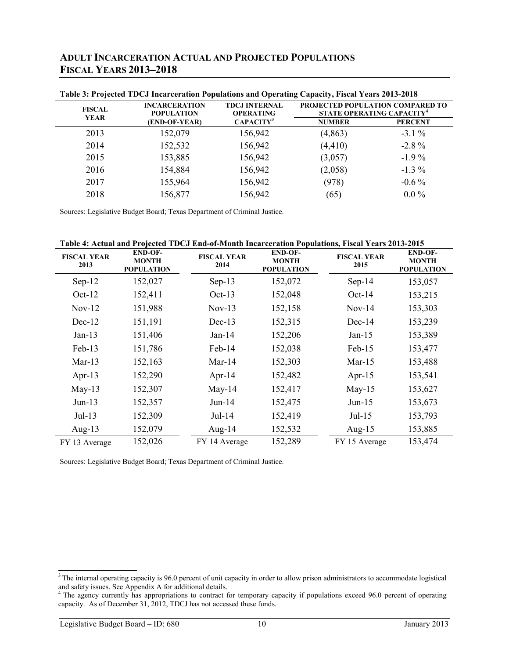| <b>ADULT INCARCERATION ACTUAL AND PROJECTED POPULATIONS</b> |  |
|-------------------------------------------------------------|--|
| <b>FISCAL YEARS 2013-2018</b>                               |  |

|                              | Table 5: Frojected TDCJ Incarceration Fopulations and Operating Capacity, Fiscal Tears 2015-2016 |                                          |                                                                           |                |  |
|------------------------------|--------------------------------------------------------------------------------------------------|------------------------------------------|---------------------------------------------------------------------------|----------------|--|
| <b>FISCAL</b><br><b>YEAR</b> | <b>INCARCERATION</b><br><b>POPULATION</b>                                                        | <b>TDCJ INTERNAL</b><br><b>OPERATING</b> | PROJECTED POPULATION COMPARED TO<br>STATE OPERATING CAPACITY <sup>4</sup> |                |  |
|                              | (END-OF-YEAR)                                                                                    | CAPACITY <sup>3</sup>                    | <b>NUMBER</b>                                                             | <b>PERCENT</b> |  |
| 2013                         | 152,079                                                                                          | 156,942                                  | (4, 863)                                                                  | $-3.1\%$       |  |
| 2014                         | 152,532                                                                                          | 156,942                                  | (4, 410)                                                                  | $-2.8\%$       |  |
| 2015                         | 153,885                                                                                          | 156,942                                  | (3,057)                                                                   | $-1.9\%$       |  |
| 2016                         | 154,884                                                                                          | 156,942                                  | (2,058)                                                                   | $-1.3\%$       |  |
| 2017                         | 155,964                                                                                          | 156,942                                  | (978)                                                                     | $-0.6\%$       |  |
| 2018                         | 156,877                                                                                          | 156,942                                  | (65)                                                                      | $0.0\%$        |  |

**Table 3: Projected TDCJ Incarceration Populations and Operating Capacity, Fiscal Years 2013-2018**

Sources: Legislative Budget Board; Texas Department of Criminal Justice.

**Table 4: Actual and Projected TDCJ End-of-Month Incarceration Populations, Fiscal Years 2013-2015**

| <b>FISCAL YEAR</b><br>2013 | <b>END-OF-</b><br><b>MONTH</b><br><b>POPULATION</b> | <b>FISCAL YEAR</b><br>2014 | <b>END-OF-</b><br><b>MONTH</b><br><b>POPULATION</b> | <b>FISCAL YEAR</b><br>2015 | <b>END-OF-</b><br><b>MONTH</b><br><b>POPULATION</b> |
|----------------------------|-----------------------------------------------------|----------------------------|-----------------------------------------------------|----------------------------|-----------------------------------------------------|
| $Sep-12$                   | 152,027                                             | $Sep-13$                   | 152,072                                             | $Sep-14$                   | 153,057                                             |
| $Oct-12$                   | 152,411                                             | $Oct-13$                   | 152,048                                             | $Oct-14$                   | 153,215                                             |
| $Nov-12$                   | 151,988                                             | $Nov-13$                   | 152,158                                             | $Nov-14$                   | 153,303                                             |
| $Dec-12$                   | 151,191                                             | $Dec-13$                   | 152,315                                             | $Dec-14$                   | 153,239                                             |
| $Jan-13$                   | 151,406                                             | $Jan-14$                   | 152,206                                             | $Jan-15$                   | 153,389                                             |
| Feb-13                     | 151,786                                             | Feb-14                     | 152,038                                             | $Feb-15$                   | 153,477                                             |
| $Mar-13$                   | 152,163                                             | $Mar-14$                   | 152,303                                             | Mar- $15$                  | 153,488                                             |
| Apr-13                     | 152,290                                             | Apr-14                     | 152,482                                             | Apr- $15$                  | 153,541                                             |
| $May-13$                   | 152,307                                             | $May-14$                   | 152,417                                             | $May-15$                   | 153,627                                             |
| $Jun-13$                   | 152,357                                             | $Jun-14$                   | 152,475                                             | $Jun-15$                   | 153,673                                             |
| $Jul-13$                   | 152,309                                             | $Jul-14$                   | 152,419                                             | $Jul-15$                   | 153,793                                             |
| Aug- $13$                  | 152,079                                             | Aug- $14$                  | 152,532                                             | Aug- $15$                  | 153,885                                             |
| FY 13 Average              | 152,026                                             | FY 14 Average              | 152,289                                             | FY 15 Average              | 153,474                                             |

 $3$  The internal operating capacity is 96.0 percent of unit capacity in order to allow prison administrators to accommodate logistical and safety issues. See Appendix A for additional details.

<sup>&</sup>lt;sup>4</sup> The agency currently has appropriations to contract for temporary capacity if populations exceed 96.0 percent of operating capacity. As of December 31, 2012, TDCJ has not accessed these funds.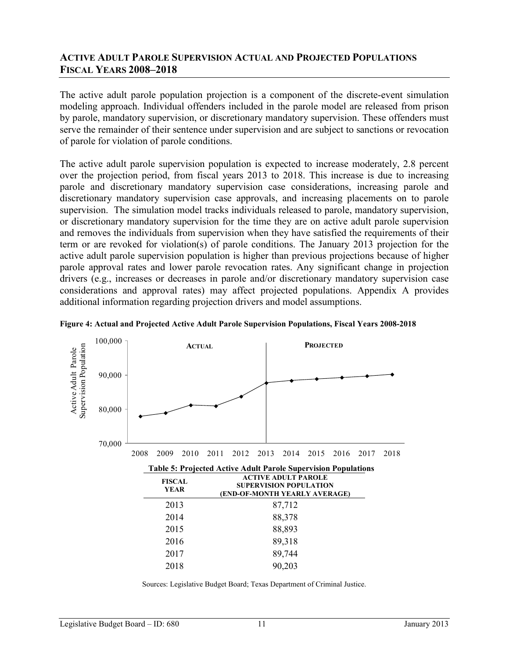## **ACTIVE ADULT PAROLE SUPERVISION ACTUAL AND PROJECTED POPULATIONS FISCAL YEARS 2008–2018**

The active adult parole population projection is a component of the discrete-event simulation modeling approach. Individual offenders included in the parole model are released from prison by parole, mandatory supervision, or discretionary mandatory supervision. These offenders must serve the remainder of their sentence under supervision and are subject to sanctions or revocation of parole for violation of parole conditions.

The active adult parole supervision population is expected to increase moderately, 2.8 percent over the projection period, from fiscal years 2013 to 2018. This increase is due to increasing parole and discretionary mandatory supervision case considerations, increasing parole and discretionary mandatory supervision case approvals, and increasing placements on to parole supervision. The simulation model tracks individuals released to parole, mandatory supervision, or discretionary mandatory supervision for the time they are on active adult parole supervision and removes the individuals from supervision when they have satisfied the requirements of their term or are revoked for violation(s) of parole conditions. The January 2013 projection for the active adult parole supervision population is higher than previous projections because of higher parole approval rates and lower parole revocation rates. Any significant change in projection drivers (e.g., increases or decreases in parole and/or discretionary mandatory supervision case considerations and approval rates) may affect projected populations. Appendix A provides additional information regarding projection drivers and model assumptions.



**Figure 4: Actual and Projected Active Adult Parole Supervision Populations, Fiscal Years 2008-2018**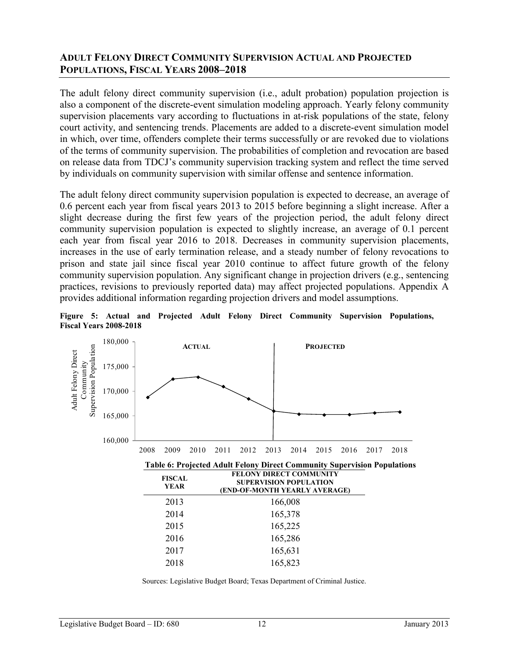## **ADULT FELONY DIRECT COMMUNITY SUPERVISION ACTUAL AND PROJECTED POPULATIONS, FISCAL YEARS 2008–2018**

The adult felony direct community supervision (i.e., adult probation) population projection is also a component of the discrete-event simulation modeling approach. Yearly felony community supervision placements vary according to fluctuations in at-risk populations of the state, felony court activity, and sentencing trends. Placements are added to a discrete-event simulation model in which, over time, offenders complete their terms successfully or are revoked due to violations of the terms of community supervision. The probabilities of completion and revocation are based on release data from TDCJ's community supervision tracking system and reflect the time served by individuals on community supervision with similar offense and sentence information.

The adult felony direct community supervision population is expected to decrease, an average of 0.6 percent each year from fiscal years 2013 to 2015 before beginning a slight increase. After a slight decrease during the first few years of the projection period, the adult felony direct community supervision population is expected to slightly increase, an average of 0.1 percent each year from fiscal year 2016 to 2018. Decreases in community supervision placements, increases in the use of early termination release, and a steady number of felony revocations to prison and state jail since fiscal year 2010 continue to affect future growth of the felony community supervision population. Any significant change in projection drivers (e.g., sentencing practices, revisions to previously reported data) may affect projected populations. Appendix A provides additional information regarding projection drivers and model assumptions.

**Figure 5: Actual and Projected Adult Felony Direct Community Supervision Populations, Fiscal Years 2008-2018**

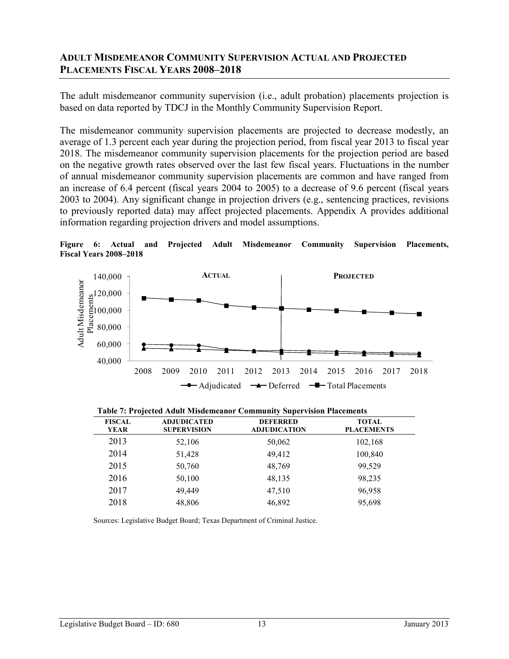## **ADULT MISDEMEANOR COMMUNITY SUPERVISION ACTUAL AND PROJECTED PLACEMENTS FISCAL YEARS 2008–2018**

The adult misdemeanor community supervision (i.e., adult probation) placements projection is based on data reported by TDCJ in the Monthly Community Supervision Report.

The misdemeanor community supervision placements are projected to decrease modestly, an average of 1.3 percent each year during the projection period, from fiscal year 2013 to fiscal year 2018. The misdemeanor community supervision placements for the projection period are based on the negative growth rates observed over the last few fiscal years. Fluctuations in the number of annual misdemeanor community supervision placements are common and have ranged from an increase of 6.4 percent (fiscal years 2004 to 2005) to a decrease of 9.6 percent (fiscal years 2003 to 2004). Any significant change in projection drivers (e.g., sentencing practices, revisions to previously reported data) may affect projected placements. Appendix A provides additional information regarding projection drivers and model assumptions.

**Figure 6: Actual and Projected Adult Misdemeanor Community Supervision Placements, Fiscal Years 2008–2018**



|  | Table 7: Projected Adult Misdemeanor Community Supervision Placements |  |
|--|-----------------------------------------------------------------------|--|
|  |                                                                       |  |

| <b>FISCAL</b><br>YEAR | <b>ADJUDICATED</b><br><b>SUPERVISION</b> | <b>DEFERRED</b><br><b>ADJUDICATION</b> | <b>TOTAL</b><br><b>PLACEMENTS</b> |
|-----------------------|------------------------------------------|----------------------------------------|-----------------------------------|
| 2013                  | 52,106                                   | 50,062                                 | 102,168                           |
| 2014                  | 51,428                                   | 49,412                                 | 100,840                           |
| 2015                  | 50,760                                   | 48,769                                 | 99,529                            |
| 2016                  | 50,100                                   | 48,135                                 | 98,235                            |
| 2017                  | 49,449                                   | 47,510                                 | 96,958                            |
| 2018                  | 48,806                                   | 46,892                                 | 95,698                            |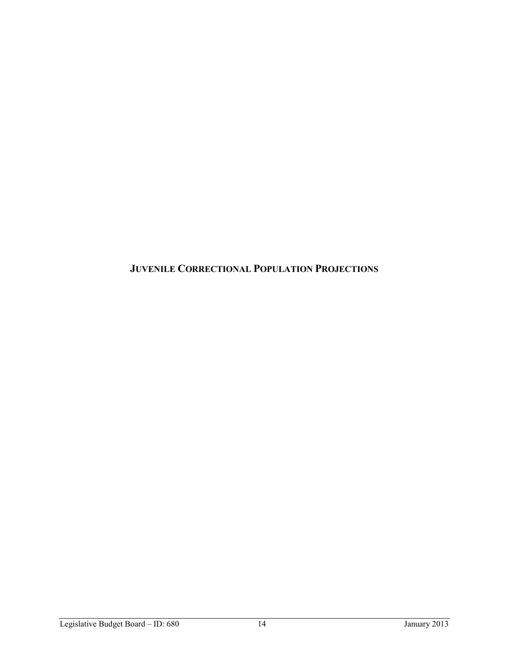**JUVENILE CORRECTIONAL POPULATION PROJECTIONS**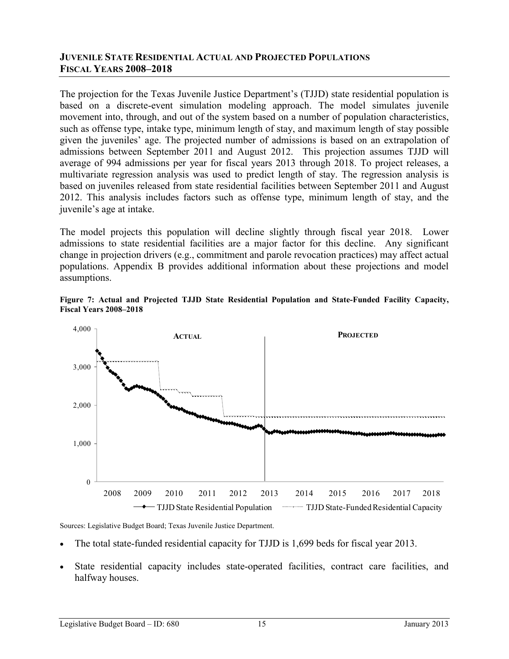## **JUVENILE STATE RESIDENTIAL ACTUAL AND PROJECTED POPULATIONS FISCAL YEARS 2008–2018**

The projection for the Texas Juvenile Justice Department's (TJJD) state residential population is based on a discrete-event simulation modeling approach. The model simulates juvenile movement into, through, and out of the system based on a number of population characteristics, such as offense type, intake type, minimum length of stay, and maximum length of stay possible given the juveniles' age. The projected number of admissions is based on an extrapolation of admissions between September 2011 and August 2012. This projection assumes TJJD will average of 994 admissions per year for fiscal years 2013 through 2018. To project releases, a multivariate regression analysis was used to predict length of stay. The regression analysis is based on juveniles released from state residential facilities between September 2011 and August 2012. This analysis includes factors such as offense type, minimum length of stay, and the juvenile's age at intake.

The model projects this population will decline slightly through fiscal year 2018. Lower admissions to state residential facilities are a major factor for this decline. Any significant change in projection drivers (e.g., commitment and parole revocation practices) may affect actual populations. Appendix B provides additional information about these projections and model assumptions.





Sources: Legislative Budget Board; Texas Juvenile Justice Department.

- The total state-funded residential capacity for TJJD is 1,699 beds for fiscal year 2013.
- State residential capacity includes state-operated facilities, contract care facilities, and halfway houses.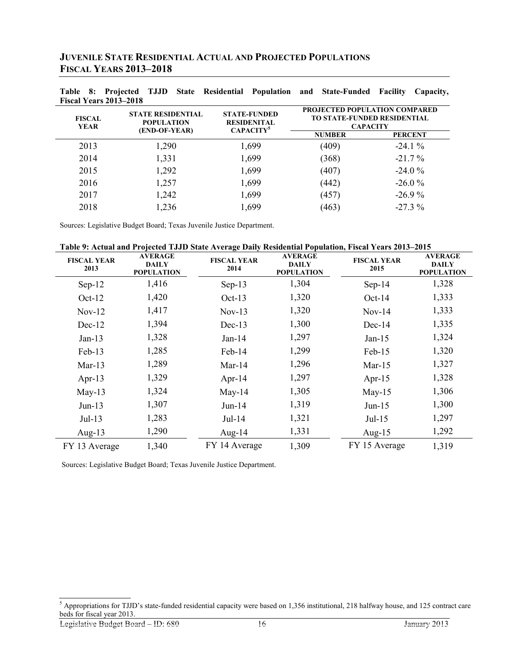| <b>JUVENILE STATE RESIDENTIAL ACTUAL AND PROJECTED POPULATIONS</b> |
|--------------------------------------------------------------------|
| <b>FISCAL YEARS 2013-2018</b>                                      |

| Fiscal Years 2013–2018       |                                               |                                                                          |                                                                                        |                |
|------------------------------|-----------------------------------------------|--------------------------------------------------------------------------|----------------------------------------------------------------------------------------|----------------|
| <b>FISCAL</b><br><b>YEAR</b> | <b>STATE RESIDENTIAL</b><br><b>POPULATION</b> | <b>STATE-FUNDED</b><br><b>RESIDENITAL</b><br><b>CAPACITY<sup>5</sup></b> | PROJECTED POPULATION COMPARED<br><b>TO STATE-FUNDED RESIDENTIAL</b><br><b>CAPACITY</b> |                |
|                              | (END-OF-YEAR)                                 |                                                                          | <b>NUMBER</b>                                                                          | <b>PERCENT</b> |
| 2013                         | 1,290                                         | 1,699                                                                    | (409)                                                                                  | $-24.1%$       |
| 2014                         | 1,331                                         | 1,699                                                                    | (368)                                                                                  | $-21.7\%$      |
| 2015                         | 1,292                                         | 1,699                                                                    | (407)                                                                                  | $-24.0%$       |
| 2016                         | 1,257                                         | 1,699                                                                    | (442)                                                                                  | $-26.0%$       |
| 2017                         | 1,242                                         | 1,699                                                                    | (457)                                                                                  | $-26.9%$       |
| 2018                         | 1,236                                         | 1,699                                                                    | (463)                                                                                  | $-27.3\%$      |

**Table 8: Projected TJJD State Residential Population and State-Funded Facility Capacity,** 

Sources: Legislative Budget Board; Texas Juvenile Justice Department.

| Table 9: Actual and Projected TJJD State Average Daily Residential Population, Fiscal Years 2013-2015 |  |  |
|-------------------------------------------------------------------------------------------------------|--|--|
|                                                                                                       |  |  |

| <b>FISCAL YEAR</b><br>2013 | <b>AVERAGE</b><br><b>DAILY</b><br><b>POPULATION</b> | <b>FISCAL YEAR</b><br>2014 | <b>AVERAGE</b><br><b>DAILY</b><br><b>POPULATION</b> | <b>FISCAL YEAR</b><br>2015 | <b>AVERAGE</b><br><b>DAILY</b><br><b>POPULATION</b> |
|----------------------------|-----------------------------------------------------|----------------------------|-----------------------------------------------------|----------------------------|-----------------------------------------------------|
| $Sep-12$                   | 1,416                                               | $Sep-13$                   | 1,304                                               | $Sep-14$                   | 1,328                                               |
| $Oct-12$                   | 1,420                                               | $Oct-13$                   | 1,320                                               | $Oct-14$                   | 1,333                                               |
| $Nov-12$                   | 1,417                                               | $Nov-13$                   | 1,320                                               | $Nov-14$                   | 1,333                                               |
| $Dec-12$                   | 1,394                                               | $Dec-13$                   | 1,300                                               | $Dec-14$                   | 1,335                                               |
| $Jan-13$                   | 1,328                                               | $Jan-14$                   | 1,297                                               | $Jan-15$                   | 1,324                                               |
| $Feb-13$                   | 1,285                                               | Feb-14                     | 1,299                                               | $Feb-15$                   | 1,320                                               |
| $Mar-13$                   | 1,289                                               | $Mar-14$                   | 1,296                                               | $Mar-15$                   | 1,327                                               |
| Apr-13                     | 1,329                                               | Apr-14                     | 1,297                                               | Apr- $15$                  | 1,328                                               |
| $May-13$                   | 1,324                                               | $May-14$                   | 1,305                                               | $May-15$                   | 1,306                                               |
| $Jun-13$                   | 1,307                                               | $Jun-14$                   | 1,319                                               | $Jun-15$                   | 1,300                                               |
| $Jul-13$                   | 1,283                                               | $Jul-14$                   | 1,321                                               | $Jul-15$                   | 1,297                                               |
| Aug- $13$                  | 1,290                                               | Aug- $14$                  | 1,331                                               | Aug- $15$                  | 1,292                                               |
| FY 13 Average              | 1,340                                               | FY 14 Average              | 1,309                                               | FY 15 Average              | 1,319                                               |

Sources: Legislative Budget Board; Texas Juvenile Justice Department.

 $<sup>5</sup>$  Appropriations for TJJD's state-funded residential capacity were based on 1,356 institutional, 218 halfway house, and 125 contract care</sup> beds for fiscal year 2013.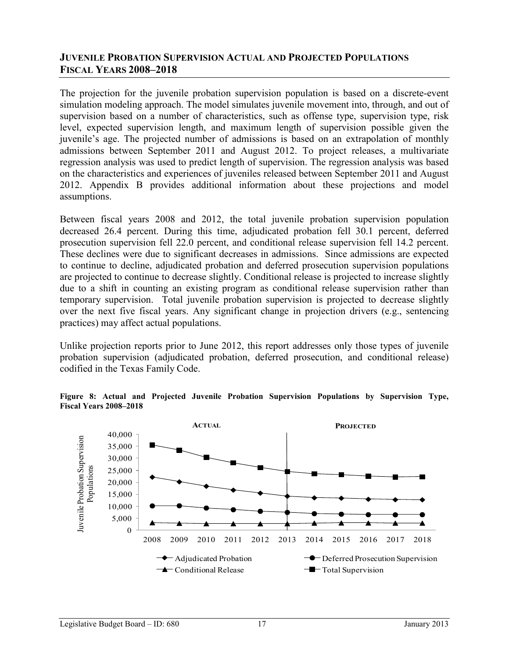## **JUVENILE PROBATION SUPERVISION ACTUAL AND PROJECTED POPULATIONS FISCAL YEARS 2008–2018**

The projection for the juvenile probation supervision population is based on a discrete-event simulation modeling approach. The model simulates juvenile movement into, through, and out of supervision based on a number of characteristics, such as offense type, supervision type, risk level, expected supervision length, and maximum length of supervision possible given the juvenile's age. The projected number of admissions is based on an extrapolation of monthly admissions between September 2011 and August 2012. To project releases, a multivariate regression analysis was used to predict length of supervision. The regression analysis was based on the characteristics and experiences of juveniles released between September 2011 and August 2012. Appendix B provides additional information about these projections and model assumptions.

Between fiscal years 2008 and 2012, the total juvenile probation supervision population decreased 26.4 percent. During this time, adjudicated probation fell 30.1 percent, deferred prosecution supervision fell 22.0 percent, and conditional release supervision fell 14.2 percent. These declines were due to significant decreases in admissions. Since admissions are expected to continue to decline, adjudicated probation and deferred prosecution supervision populations are projected to continue to decrease slightly. Conditional release is projected to increase slightly due to a shift in counting an existing program as conditional release supervision rather than temporary supervision. Total juvenile probation supervision is projected to decrease slightly over the next five fiscal years. Any significant change in projection drivers (e.g., sentencing practices) may affect actual populations.

Unlike projection reports prior to June 2012, this report addresses only those types of juvenile probation supervision (adjudicated probation, deferred prosecution, and conditional release) codified in the Texas Family Code.

#### **Figure 8: Actual and Projected Juvenile Probation Supervision Populations by Supervision Type, Fiscal Years 2008–2018**

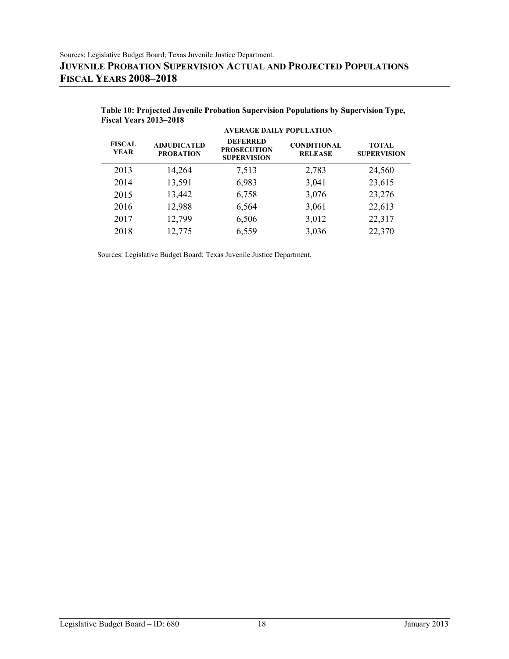|                              | <b>AVERAGE DAILY POPULATION</b>        |                                                             |                                      |                                    |
|------------------------------|----------------------------------------|-------------------------------------------------------------|--------------------------------------|------------------------------------|
| <b>FISCAL</b><br><b>YEAR</b> | <b>ADJUDICATED</b><br><b>PROBATION</b> | <b>DEFERRED</b><br><b>PROSECUTION</b><br><b>SUPERVISION</b> | <b>CONDITIONAL</b><br><b>RELEASE</b> | <b>TOTAL</b><br><b>SUPERVISION</b> |
| 2013                         | 14,264                                 | 7,513                                                       | 2,783                                | 24,560                             |
| 2014                         | 13,591                                 | 6,983                                                       | 3,041                                | 23,615                             |
| 2015                         | 13,442                                 | 6,758                                                       | 3,076                                | 23,276                             |
| 2016                         | 12,988                                 | 6,564                                                       | 3,061                                | 22,613                             |
| 2017                         | 12,799                                 | 6,506                                                       | 3,012                                | 22,317                             |
| 2018                         | 12,775                                 | 6,559                                                       | 3,036                                | 22,370                             |

| Table 10: Projected Juvenile Probation Supervision Populations by Supervision Type, |  |  |
|-------------------------------------------------------------------------------------|--|--|
| <b>Fiscal Years 2013–2018</b>                                                       |  |  |

Sources: Legislative Budget Board; Texas Juvenile Justice Department.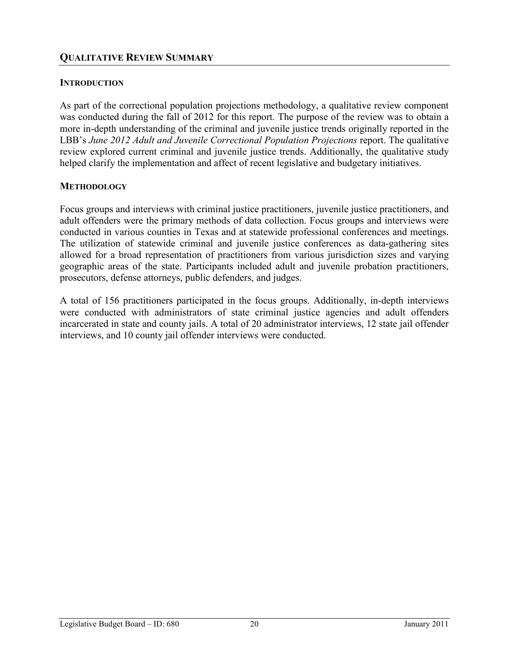## **INTRODUCTION**

As part of the correctional population projections methodology, a qualitative review component was conducted during the fall of 2012 for this report. The purpose of the review was to obtain a more in-depth understanding of the criminal and juvenile justice trends originally reported in the LBB's *June 2012 Adult and Juvenile Correctional Population Projections* report. The qualitative review explored current criminal and juvenile justice trends. Additionally, the qualitative study helped clarify the implementation and affect of recent legislative and budgetary initiatives.

### **METHODOLOGY**

Focus groups and interviews with criminal justice practitioners, juvenile justice practitioners, and adult offenders were the primary methods of data collection. Focus groups and interviews were conducted in various counties in Texas and at statewide professional conferences and meetings. The utilization of statewide criminal and juvenile justice conferences as data-gathering sites allowed for a broad representation of practitioners from various jurisdiction sizes and varying geographic areas of the state. Participants included adult and juvenile probation practitioners, prosecutors, defense attorneys, public defenders, and judges.

A total of 156 practitioners participated in the focus groups. Additionally, in-depth interviews were conducted with administrators of state criminal justice agencies and adult offenders incarcerated in state and county jails. A total of 20 administrator interviews, 12 state jail offender interviews, and 10 county jail offender interviews were conducted.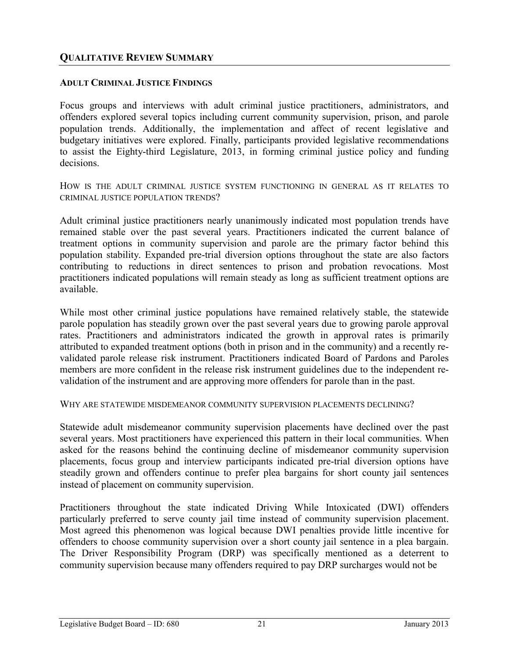### **ADULT CRIMINAL JUSTICE FINDINGS**

Focus groups and interviews with adult criminal justice practitioners, administrators, and offenders explored several topics including current community supervision, prison, and parole population trends. Additionally, the implementation and affect of recent legislative and budgetary initiatives were explored. Finally, participants provided legislative recommendations to assist the Eighty-third Legislature, 2013, in forming criminal justice policy and funding decisions.

HOW IS THE ADULT CRIMINAL JUSTICE SYSTEM FUNCTIONING IN GENERAL AS IT RELATES TO CRIMINAL JUSTICE POPULATION TRENDS?

Adult criminal justice practitioners nearly unanimously indicated most population trends have remained stable over the past several years. Practitioners indicated the current balance of treatment options in community supervision and parole are the primary factor behind this population stability. Expanded pre-trial diversion options throughout the state are also factors contributing to reductions in direct sentences to prison and probation revocations. Most practitioners indicated populations will remain steady as long as sufficient treatment options are available.

While most other criminal justice populations have remained relatively stable, the statewide parole population has steadily grown over the past several years due to growing parole approval rates. Practitioners and administrators indicated the growth in approval rates is primarily attributed to expanded treatment options (both in prison and in the community) and a recently revalidated parole release risk instrument. Practitioners indicated Board of Pardons and Paroles members are more confident in the release risk instrument guidelines due to the independent revalidation of the instrument and are approving more offenders for parole than in the past.

WHY ARE STATEWIDE MISDEMEANOR COMMUNITY SUPERVISION PLACEMENTS DECLINING?

Statewide adult misdemeanor community supervision placements have declined over the past several years. Most practitioners have experienced this pattern in their local communities. When asked for the reasons behind the continuing decline of misdemeanor community supervision placements, focus group and interview participants indicated pre-trial diversion options have steadily grown and offenders continue to prefer plea bargains for short county jail sentences instead of placement on community supervision.

Practitioners throughout the state indicated Driving While Intoxicated (DWI) offenders particularly preferred to serve county jail time instead of community supervision placement. Most agreed this phenomenon was logical because DWI penalties provide little incentive for offenders to choose community supervision over a short county jail sentence in a plea bargain. The Driver Responsibility Program (DRP) was specifically mentioned as a deterrent to community supervision because many offenders required to pay DRP surcharges would not be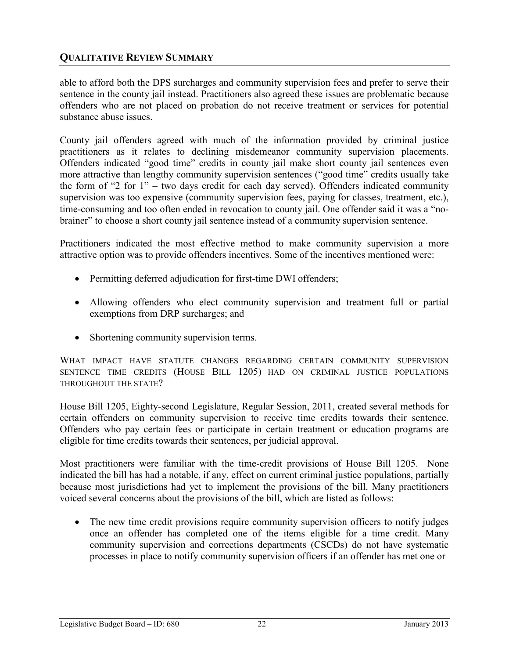able to afford both the DPS surcharges and community supervision fees and prefer to serve their sentence in the county jail instead. Practitioners also agreed these issues are problematic because offenders who are not placed on probation do not receive treatment or services for potential substance abuse issues.

County jail offenders agreed with much of the information provided by criminal justice practitioners as it relates to declining misdemeanor community supervision placements. Offenders indicated "good time" credits in county jail make short county jail sentences even more attractive than lengthy community supervision sentences ("good time" credits usually take the form of "2 for 1" – two days credit for each day served). Offenders indicated community supervision was too expensive (community supervision fees, paying for classes, treatment, etc.), time-consuming and too often ended in revocation to county jail. One offender said it was a "nobrainer" to choose a short county jail sentence instead of a community supervision sentence.

Practitioners indicated the most effective method to make community supervision a more attractive option was to provide offenders incentives. Some of the incentives mentioned were:

- Permitting deferred adjudication for first-time DWI offenders;
- Allowing offenders who elect community supervision and treatment full or partial exemptions from DRP surcharges; and
- Shortening community supervision terms.

WHAT IMPACT HAVE STATUTE CHANGES REGARDING CERTAIN COMMUNITY SUPERVISION SENTENCE TIME CREDITS (HOUSE BILL 1205) HAD ON CRIMINAL JUSTICE POPULATIONS THROUGHOUT THE STATE?

House Bill 1205, Eighty-second Legislature, Regular Session, 2011, created several methods for certain offenders on community supervision to receive time credits towards their sentence. Offenders who pay certain fees or participate in certain treatment or education programs are eligible for time credits towards their sentences, per judicial approval.

Most practitioners were familiar with the time-credit provisions of House Bill 1205. None indicated the bill has had a notable, if any, effect on current criminal justice populations, partially because most jurisdictions had yet to implement the provisions of the bill. Many practitioners voiced several concerns about the provisions of the bill, which are listed as follows:

• The new time credit provisions require community supervision officers to notify judges once an offender has completed one of the items eligible for a time credit. Many community supervision and corrections departments (CSCDs) do not have systematic processes in place to notify community supervision officers if an offender has met one or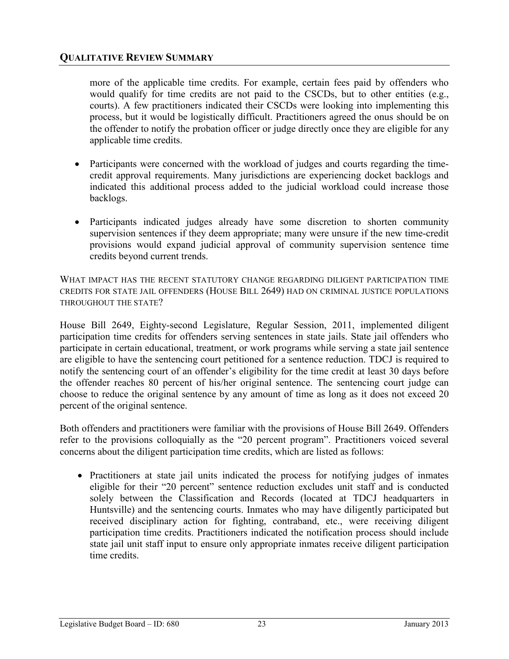more of the applicable time credits. For example, certain fees paid by offenders who would qualify for time credits are not paid to the CSCDs, but to other entities (e.g., courts). A few practitioners indicated their CSCDs were looking into implementing this process, but it would be logistically difficult. Practitioners agreed the onus should be on the offender to notify the probation officer or judge directly once they are eligible for any applicable time credits.

- Participants were concerned with the workload of judges and courts regarding the timecredit approval requirements. Many jurisdictions are experiencing docket backlogs and indicated this additional process added to the judicial workload could increase those backlogs.
- Participants indicated judges already have some discretion to shorten community supervision sentences if they deem appropriate; many were unsure if the new time-credit provisions would expand judicial approval of community supervision sentence time credits beyond current trends.

WHAT IMPACT HAS THE RECENT STATUTORY CHANGE REGARDING DILIGENT PARTICIPATION TIME CREDITS FOR STATE JAIL OFFENDERS (HOUSE BILL 2649) HAD ON CRIMINAL JUSTICE POPULATIONS THROUGHOUT THE STATE?

House Bill 2649, Eighty-second Legislature, Regular Session, 2011, implemented diligent participation time credits for offenders serving sentences in state jails. State jail offenders who participate in certain educational, treatment, or work programs while serving a state jail sentence are eligible to have the sentencing court petitioned for a sentence reduction. TDCJ is required to notify the sentencing court of an offender's eligibility for the time credit at least 30 days before the offender reaches 80 percent of his/her original sentence. The sentencing court judge can choose to reduce the original sentence by any amount of time as long as it does not exceed 20 percent of the original sentence.

Both offenders and practitioners were familiar with the provisions of House Bill 2649. Offenders refer to the provisions colloquially as the "20 percent program". Practitioners voiced several concerns about the diligent participation time credits, which are listed as follows:

• Practitioners at state jail units indicated the process for notifying judges of inmates eligible for their "20 percent" sentence reduction excludes unit staff and is conducted solely between the Classification and Records (located at TDCJ headquarters in Huntsville) and the sentencing courts. Inmates who may have diligently participated but received disciplinary action for fighting, contraband, etc., were receiving diligent participation time credits. Practitioners indicated the notification process should include state jail unit staff input to ensure only appropriate inmates receive diligent participation time credits.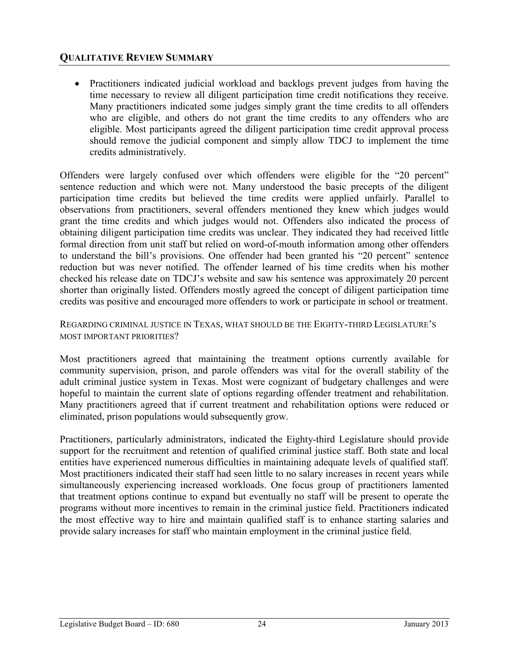• Practitioners indicated judicial workload and backlogs prevent judges from having the time necessary to review all diligent participation time credit notifications they receive. Many practitioners indicated some judges simply grant the time credits to all offenders who are eligible, and others do not grant the time credits to any offenders who are eligible. Most participants agreed the diligent participation time credit approval process should remove the judicial component and simply allow TDCJ to implement the time credits administratively.

Offenders were largely confused over which offenders were eligible for the "20 percent" sentence reduction and which were not. Many understood the basic precepts of the diligent participation time credits but believed the time credits were applied unfairly. Parallel to observations from practitioners, several offenders mentioned they knew which judges would grant the time credits and which judges would not. Offenders also indicated the process of obtaining diligent participation time credits was unclear. They indicated they had received little formal direction from unit staff but relied on word-of-mouth information among other offenders to understand the bill's provisions. One offender had been granted his "20 percent" sentence reduction but was never notified. The offender learned of his time credits when his mother checked his release date on TDCJ's website and saw his sentence was approximately 20 percent shorter than originally listed. Offenders mostly agreed the concept of diligent participation time credits was positive and encouraged more offenders to work or participate in school or treatment.

### REGARDING CRIMINAL JUSTICE IN TEXAS, WHAT SHOULD BE THE EIGHTY-THIRD LEGISLATURE'S MOST IMPORTANT PRIORITIES?

Most practitioners agreed that maintaining the treatment options currently available for community supervision, prison, and parole offenders was vital for the overall stability of the adult criminal justice system in Texas. Most were cognizant of budgetary challenges and were hopeful to maintain the current slate of options regarding offender treatment and rehabilitation. Many practitioners agreed that if current treatment and rehabilitation options were reduced or eliminated, prison populations would subsequently grow.

Practitioners, particularly administrators, indicated the Eighty-third Legislature should provide support for the recruitment and retention of qualified criminal justice staff. Both state and local entities have experienced numerous difficulties in maintaining adequate levels of qualified staff. Most practitioners indicated their staff had seen little to no salary increases in recent years while simultaneously experiencing increased workloads. One focus group of practitioners lamented that treatment options continue to expand but eventually no staff will be present to operate the programs without more incentives to remain in the criminal justice field. Practitioners indicated the most effective way to hire and maintain qualified staff is to enhance starting salaries and provide salary increases for staff who maintain employment in the criminal justice field.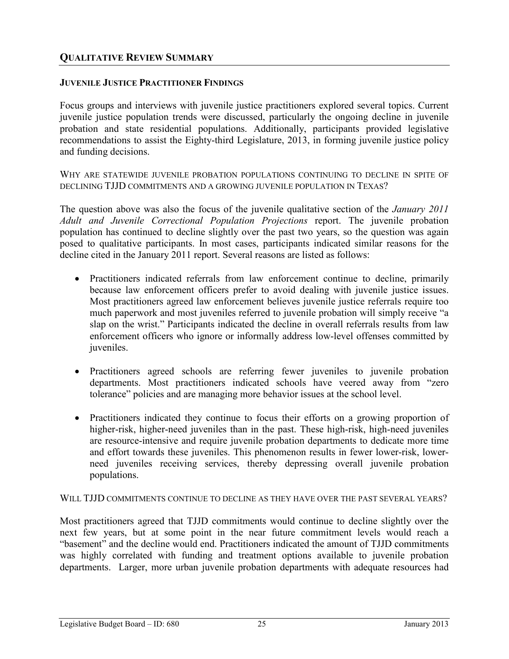## **JUVENILE JUSTICE PRACTITIONER FINDINGS**

Focus groups and interviews with juvenile justice practitioners explored several topics. Current juvenile justice population trends were discussed, particularly the ongoing decline in juvenile probation and state residential populations. Additionally, participants provided legislative recommendations to assist the Eighty-third Legislature, 2013, in forming juvenile justice policy and funding decisions.

WHY ARE STATEWIDE JUVENILE PROBATION POPULATIONS CONTINUING TO DECLINE IN SPITE OF DECLINING TJJD COMMITMENTS AND A GROWING JUVENILE POPULATION IN TEXAS?

The question above was also the focus of the juvenile qualitative section of the *January 2011 Adult and Juvenile Correctional Population Projections* report. The juvenile probation population has continued to decline slightly over the past two years, so the question was again posed to qualitative participants. In most cases, participants indicated similar reasons for the decline cited in the January 2011 report. Several reasons are listed as follows:

- Practitioners indicated referrals from law enforcement continue to decline, primarily because law enforcement officers prefer to avoid dealing with juvenile justice issues. Most practitioners agreed law enforcement believes juvenile justice referrals require too much paperwork and most juveniles referred to juvenile probation will simply receive "a slap on the wrist." Participants indicated the decline in overall referrals results from law enforcement officers who ignore or informally address low-level offenses committed by juveniles.
- Practitioners agreed schools are referring fewer juveniles to juvenile probation departments. Most practitioners indicated schools have veered away from "zero tolerance" policies and are managing more behavior issues at the school level.
- Practitioners indicated they continue to focus their efforts on a growing proportion of higher-risk, higher-need juveniles than in the past. These high-risk, high-need juveniles are resource-intensive and require juvenile probation departments to dedicate more time and effort towards these juveniles. This phenomenon results in fewer lower-risk, lowerneed juveniles receiving services, thereby depressing overall juvenile probation populations.

WILL TJJD COMMITMENTS CONTINUE TO DECLINE AS THEY HAVE OVER THE PAST SEVERAL YEARS?

Most practitioners agreed that TJJD commitments would continue to decline slightly over the next few years, but at some point in the near future commitment levels would reach a "basement" and the decline would end. Practitioners indicated the amount of TJJD commitments was highly correlated with funding and treatment options available to juvenile probation departments. Larger, more urban juvenile probation departments with adequate resources had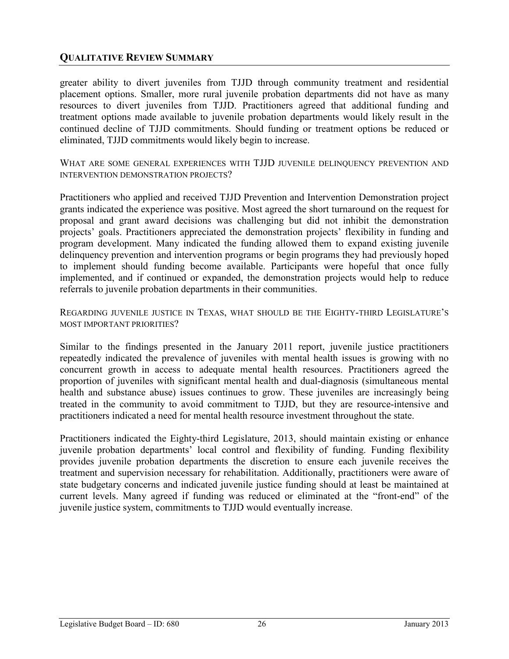greater ability to divert juveniles from TJJD through community treatment and residential placement options. Smaller, more rural juvenile probation departments did not have as many resources to divert juveniles from TJJD. Practitioners agreed that additional funding and treatment options made available to juvenile probation departments would likely result in the continued decline of TJJD commitments. Should funding or treatment options be reduced or eliminated, TJJD commitments would likely begin to increase.

WHAT ARE SOME GENERAL EXPERIENCES WITH TJJD JUVENILE DELINQUENCY PREVENTION AND INTERVENTION DEMONSTRATION PROJECTS?

Practitioners who applied and received TJJD Prevention and Intervention Demonstration project grants indicated the experience was positive. Most agreed the short turnaround on the request for proposal and grant award decisions was challenging but did not inhibit the demonstration projects' goals. Practitioners appreciated the demonstration projects' flexibility in funding and program development. Many indicated the funding allowed them to expand existing juvenile delinquency prevention and intervention programs or begin programs they had previously hoped to implement should funding become available. Participants were hopeful that once fully implemented, and if continued or expanded, the demonstration projects would help to reduce referrals to juvenile probation departments in their communities.

REGARDING JUVENILE JUSTICE IN TEXAS, WHAT SHOULD BE THE EIGHTY-THIRD LEGISLATURE'S MOST IMPORTANT PRIORITIES?

Similar to the findings presented in the January 2011 report, juvenile justice practitioners repeatedly indicated the prevalence of juveniles with mental health issues is growing with no concurrent growth in access to adequate mental health resources. Practitioners agreed the proportion of juveniles with significant mental health and dual-diagnosis (simultaneous mental health and substance abuse) issues continues to grow. These juveniles are increasingly being treated in the community to avoid commitment to TJJD, but they are resource-intensive and practitioners indicated a need for mental health resource investment throughout the state.

Practitioners indicated the Eighty-third Legislature, 2013, should maintain existing or enhance juvenile probation departments' local control and flexibility of funding. Funding flexibility provides juvenile probation departments the discretion to ensure each juvenile receives the treatment and supervision necessary for rehabilitation. Additionally, practitioners were aware of state budgetary concerns and indicated juvenile justice funding should at least be maintained at current levels. Many agreed if funding was reduced or eliminated at the "front-end" of the juvenile justice system, commitments to TJJD would eventually increase.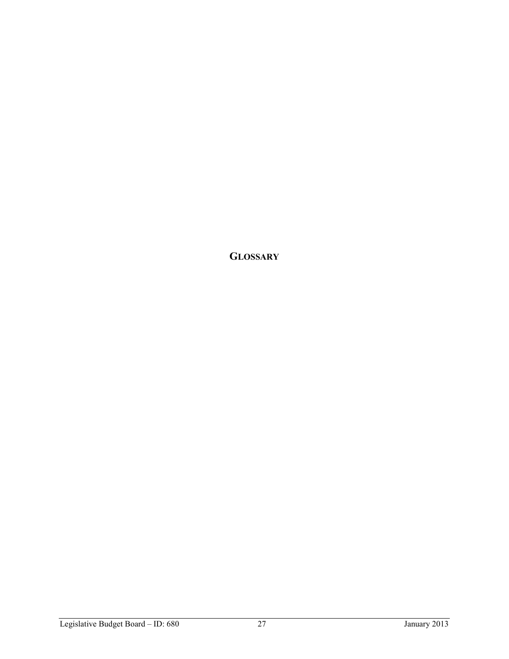**GLOSSARY**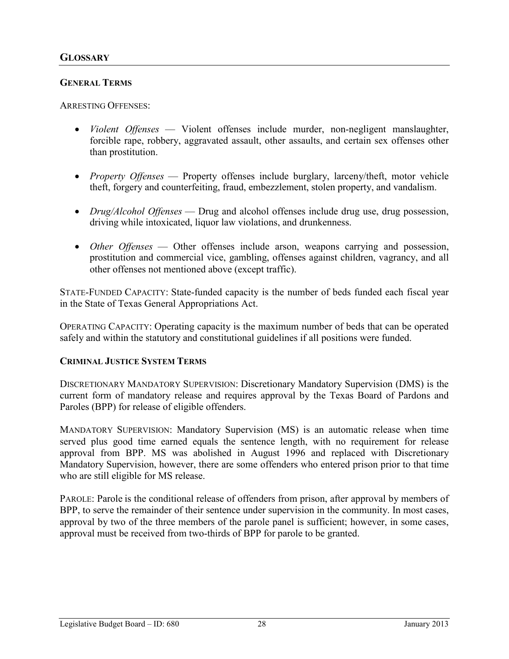## **GENERAL TERMS**

ARRESTING OFFENSES:

- x *Violent Offenses* Violent offenses include murder, non-negligent manslaughter, forcible rape, robbery, aggravated assault, other assaults, and certain sex offenses other than prostitution.
- *Property Offenses* Property offenses include burglary, larceny/theft, motor vehicle theft, forgery and counterfeiting, fraud, embezzlement, stolen property, and vandalism.
- *Drug/Alcohol Offenses* Drug and alcohol offenses include drug use, drug possession, driving while intoxicated, liquor law violations, and drunkenness.
- *Other Offenses* Other offenses include arson, weapons carrying and possession, prostitution and commercial vice, gambling, offenses against children, vagrancy, and all other offenses not mentioned above (except traffic).

STATE-FUNDED CAPACITY: State-funded capacity is the number of beds funded each fiscal year in the State of Texas General Appropriations Act.

OPERATING CAPACITY: Operating capacity is the maximum number of beds that can be operated safely and within the statutory and constitutional guidelines if all positions were funded.

### **CRIMINAL JUSTICE SYSTEM TERMS**

DISCRETIONARY MANDATORY SUPERVISION: Discretionary Mandatory Supervision (DMS) is the current form of mandatory release and requires approval by the Texas Board of Pardons and Paroles (BPP) for release of eligible offenders.

MANDATORY SUPERVISION: Mandatory Supervision (MS) is an automatic release when time served plus good time earned equals the sentence length, with no requirement for release approval from BPP. MS was abolished in August 1996 and replaced with Discretionary Mandatory Supervision, however, there are some offenders who entered prison prior to that time who are still eligible for MS release.

PAROLE: Parole is the conditional release of offenders from prison, after approval by members of BPP, to serve the remainder of their sentence under supervision in the community. In most cases, approval by two of the three members of the parole panel is sufficient; however, in some cases, approval must be received from two-thirds of BPP for parole to be granted.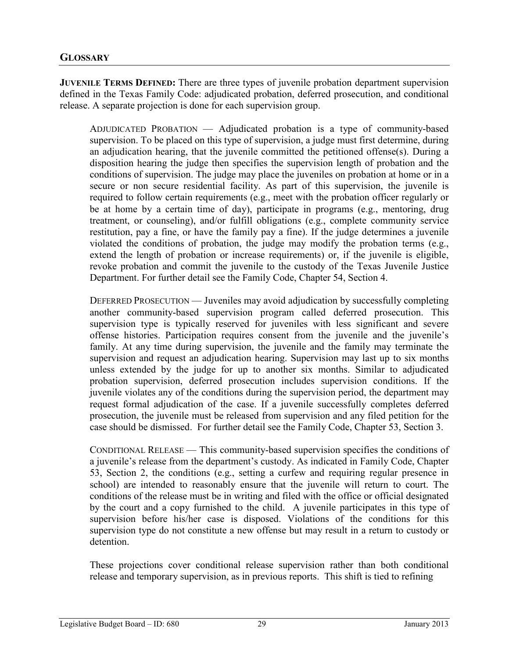**JUVENILE TERMS DEFINED:** There are three types of juvenile probation department supervision defined in the Texas Family Code: adjudicated probation, deferred prosecution, and conditional release. A separate projection is done for each supervision group.

ADJUDICATED PROBATION — Adjudicated probation is a type of community-based supervision. To be placed on this type of supervision, a judge must first determine, during an adjudication hearing, that the juvenile committed the petitioned offense(s). During a disposition hearing the judge then specifies the supervision length of probation and the conditions of supervision. The judge may place the juveniles on probation at home or in a secure or non secure residential facility. As part of this supervision, the juvenile is required to follow certain requirements (e.g., meet with the probation officer regularly or be at home by a certain time of day), participate in programs (e.g., mentoring, drug treatment, or counseling), and/or fulfill obligations (e.g., complete community service restitution, pay a fine, or have the family pay a fine). If the judge determines a juvenile violated the conditions of probation, the judge may modify the probation terms (e.g., extend the length of probation or increase requirements) or, if the juvenile is eligible, revoke probation and commit the juvenile to the custody of the Texas Juvenile Justice Department. For further detail see the Family Code, Chapter 54, Section 4.

DEFERRED PROSECUTION — Juveniles may avoid adjudication by successfully completing another community-based supervision program called deferred prosecution. This supervision type is typically reserved for juveniles with less significant and severe offense histories. Participation requires consent from the juvenile and the juvenile's family. At any time during supervision, the juvenile and the family may terminate the supervision and request an adjudication hearing. Supervision may last up to six months unless extended by the judge for up to another six months. Similar to adjudicated probation supervision, deferred prosecution includes supervision conditions. If the juvenile violates any of the conditions during the supervision period, the department may request formal adjudication of the case. If a juvenile successfully completes deferred prosecution, the juvenile must be released from supervision and any filed petition for the case should be dismissed. For further detail see the Family Code, Chapter 53, Section 3.

CONDITIONAL RELEASE — This community-based supervision specifies the conditions of a juvenile's release from the department's custody. As indicated in Family Code, Chapter 53, Section 2, the conditions (e.g., setting a curfew and requiring regular presence in school) are intended to reasonably ensure that the juvenile will return to court. The conditions of the release must be in writing and filed with the office or official designated by the court and a copy furnished to the child. A juvenile participates in this type of supervision before his/her case is disposed. Violations of the conditions for this supervision type do not constitute a new offense but may result in a return to custody or detention.

These projections cover conditional release supervision rather than both conditional release and temporary supervision, as in previous reports. This shift is tied to refining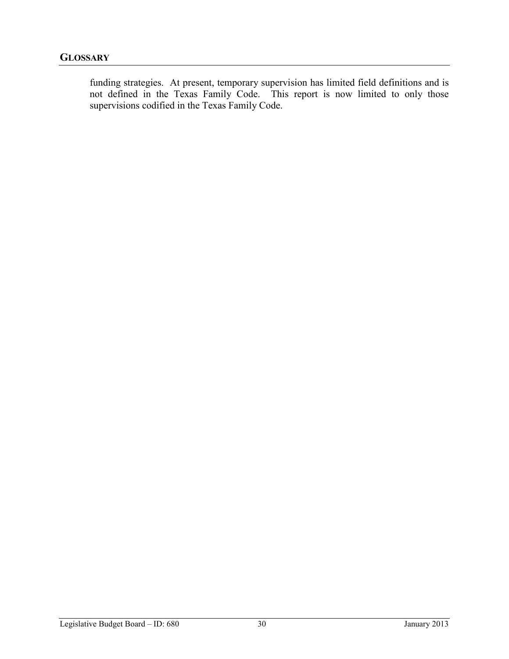funding strategies. At present, temporary supervision has limited field definitions and is not defined in the Texas Family Code. This report is now limited to only those supervisions codified in the Texas Family Code.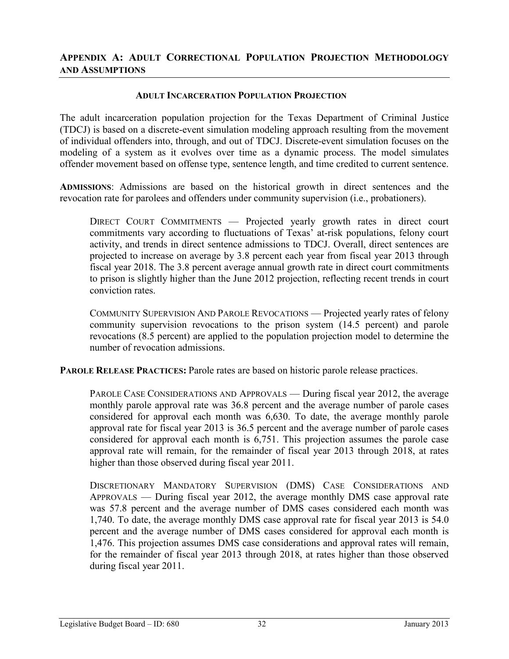#### **ADULT INCARCERATION POPULATION PROJECTION**

The adult incarceration population projection for the Texas Department of Criminal Justice (TDCJ) is based on a discrete-event simulation modeling approach resulting from the movement of individual offenders into, through, and out of TDCJ. Discrete-event simulation focuses on the modeling of a system as it evolves over time as a dynamic process. The model simulates offender movement based on offense type, sentence length, and time credited to current sentence.

**ADMISSIONS**: Admissions are based on the historical growth in direct sentences and the revocation rate for parolees and offenders under community supervision (i.e., probationers).

DIRECT COURT COMMITMENTS — Projected yearly growth rates in direct court commitments vary according to fluctuations of Texas' at-risk populations, felony court activity, and trends in direct sentence admissions to TDCJ. Overall, direct sentences are projected to increase on average by 3.8 percent each year from fiscal year 2013 through fiscal year 2018. The 3.8 percent average annual growth rate in direct court commitments to prison is slightly higher than the June 2012 projection, reflecting recent trends in court conviction rates.

COMMUNITY SUPERVISION AND PAROLE REVOCATIONS — Projected yearly rates of felony community supervision revocations to the prison system (14.5 percent) and parole revocations (8.5 percent) are applied to the population projection model to determine the number of revocation admissions.

**PAROLE RELEASE PRACTICES:** Parole rates are based on historic parole release practices.

PAROLE CASE CONSIDERATIONS AND APPROVALS — During fiscal year 2012, the average monthly parole approval rate was 36.8 percent and the average number of parole cases considered for approval each month was 6,630. To date, the average monthly parole approval rate for fiscal year 2013 is 36.5 percent and the average number of parole cases considered for approval each month is 6,751. This projection assumes the parole case approval rate will remain, for the remainder of fiscal year 2013 through 2018, at rates higher than those observed during fiscal year 2011.

DISCRETIONARY MANDATORY SUPERVISION (DMS) CASE CONSIDERATIONS AND APPROVALS — During fiscal year 2012, the average monthly DMS case approval rate was 57.8 percent and the average number of DMS cases considered each month was 1,740. To date, the average monthly DMS case approval rate for fiscal year 2013 is 54.0 percent and the average number of DMS cases considered for approval each month is 1,476. This projection assumes DMS case considerations and approval rates will remain, for the remainder of fiscal year 2013 through 2018, at rates higher than those observed during fiscal year 2011.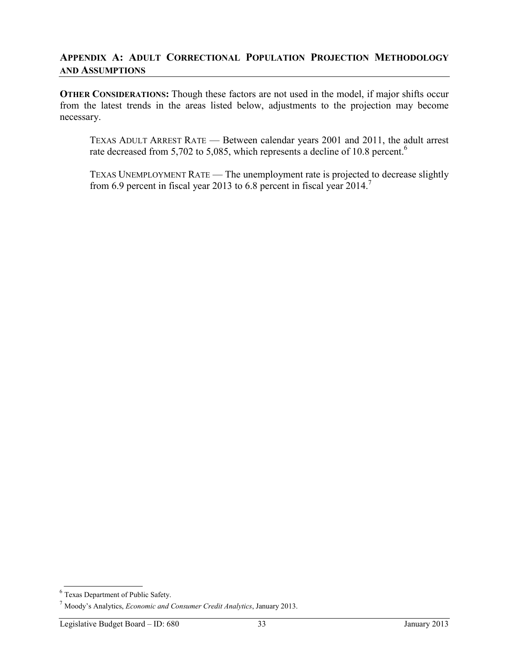**OTHER CONSIDERATIONS:** Though these factors are not used in the model, if major shifts occur from the latest trends in the areas listed below, adjustments to the projection may become necessary.

TEXAS ADULT ARREST RATE — Between calendar years 2001 and 2011, the adult arrest rate decreased from 5,702 to 5,085, which represents a decline of 10.8 percent.<sup>6</sup>

TEXAS UNEMPLOYMENT RATE — The unemployment rate is projected to decrease slightly from 6.9 percent in fiscal year 2013 to 6.8 percent in fiscal year 2014.<sup>7</sup>

<sup>6</sup> Texas Department of Public Safety.

<sup>7</sup> Moody's Analytics, *Economic and Consumer Credit Analytics*, January 2013.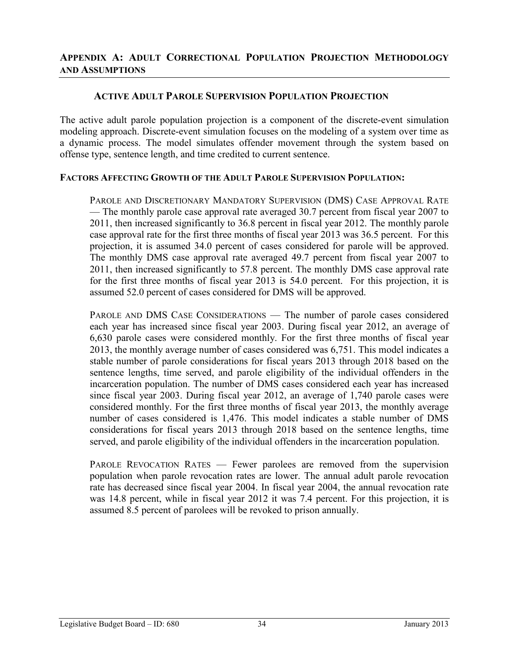## **ACTIVE ADULT PAROLE SUPERVISION POPULATION PROJECTION**

The active adult parole population projection is a component of the discrete-event simulation modeling approach. Discrete-event simulation focuses on the modeling of a system over time as a dynamic process. The model simulates offender movement through the system based on offense type, sentence length, and time credited to current sentence.

### **FACTORS AFFECTING GROWTH OF THE ADULT PAROLE SUPERVISION POPULATION:**

PAROLE AND DISCRETIONARY MANDATORY SUPERVISION (DMS) CASE APPROVAL RATE — The monthly parole case approval rate averaged 30.7 percent from fiscal year 2007 to 2011, then increased significantly to 36.8 percent in fiscal year 2012. The monthly parole case approval rate for the first three months of fiscal year 2013 was 36.5 percent. For this projection, it is assumed 34.0 percent of cases considered for parole will be approved. The monthly DMS case approval rate averaged 49.7 percent from fiscal year 2007 to 2011, then increased significantly to 57.8 percent. The monthly DMS case approval rate for the first three months of fiscal year 2013 is 54.0 percent. For this projection, it is assumed 52.0 percent of cases considered for DMS will be approved.

PAROLE AND DMS CASE CONSIDERATIONS — The number of parole cases considered each year has increased since fiscal year 2003. During fiscal year 2012, an average of 6,630 parole cases were considered monthly. For the first three months of fiscal year 2013, the monthly average number of cases considered was 6,751. This model indicates a stable number of parole considerations for fiscal years 2013 through 2018 based on the sentence lengths, time served, and parole eligibility of the individual offenders in the incarceration population. The number of DMS cases considered each year has increased since fiscal year 2003. During fiscal year 2012, an average of 1,740 parole cases were considered monthly. For the first three months of fiscal year 2013, the monthly average number of cases considered is 1,476. This model indicates a stable number of DMS considerations for fiscal years 2013 through 2018 based on the sentence lengths, time served, and parole eligibility of the individual offenders in the incarceration population.

PAROLE REVOCATION RATES — Fewer parolees are removed from the supervision population when parole revocation rates are lower. The annual adult parole revocation rate has decreased since fiscal year 2004. In fiscal year 2004, the annual revocation rate was 14.8 percent, while in fiscal year 2012 it was 7.4 percent. For this projection, it is assumed 8.5 percent of parolees will be revoked to prison annually.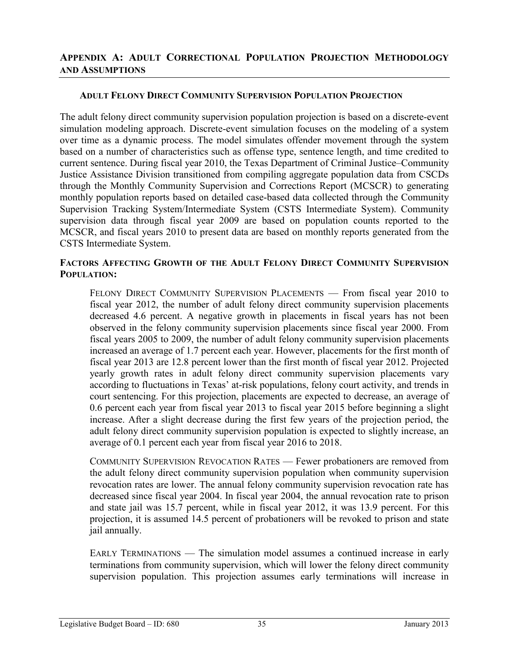#### **ADULT FELONY DIRECT COMMUNITY SUPERVISION POPULATION PROJECTION**

The adult felony direct community supervision population projection is based on a discrete-event simulation modeling approach. Discrete-event simulation focuses on the modeling of a system over time as a dynamic process. The model simulates offender movement through the system based on a number of characteristics such as offense type, sentence length, and time credited to current sentence. During fiscal year 2010, the Texas Department of Criminal Justice–Community Justice Assistance Division transitioned from compiling aggregate population data from CSCDs through the Monthly Community Supervision and Corrections Report (MCSCR) to generating monthly population reports based on detailed case-based data collected through the Community Supervision Tracking System/Intermediate System (CSTS Intermediate System). Community supervision data through fiscal year 2009 are based on population counts reported to the MCSCR, and fiscal years 2010 to present data are based on monthly reports generated from the CSTS Intermediate System.

## **FACTORS AFFECTING GROWTH OF THE ADULT FELONY DIRECT COMMUNITY SUPERVISION POPULATION:**

FELONY DIRECT COMMUNITY SUPERVISION PLACEMENTS — From fiscal year 2010 to fiscal year 2012, the number of adult felony direct community supervision placements decreased 4.6 percent. A negative growth in placements in fiscal years has not been observed in the felony community supervision placements since fiscal year 2000. From fiscal years 2005 to 2009, the number of adult felony community supervision placements increased an average of 1.7 percent each year. However, placements for the first month of fiscal year 2013 are 12.8 percent lower than the first month of fiscal year 2012. Projected yearly growth rates in adult felony direct community supervision placements vary according to fluctuations in Texas' at-risk populations, felony court activity, and trends in court sentencing. For this projection, placements are expected to decrease, an average of 0.6 percent each year from fiscal year 2013 to fiscal year 2015 before beginning a slight increase. After a slight decrease during the first few years of the projection period, the adult felony direct community supervision population is expected to slightly increase, an average of 0.1 percent each year from fiscal year 2016 to 2018.

COMMUNITY SUPERVISION REVOCATION RATES — Fewer probationers are removed from the adult felony direct community supervision population when community supervision revocation rates are lower. The annual felony community supervision revocation rate has decreased since fiscal year 2004. In fiscal year 2004, the annual revocation rate to prison and state jail was 15.7 percent, while in fiscal year 2012, it was 13.9 percent. For this projection, it is assumed 14.5 percent of probationers will be revoked to prison and state jail annually.

EARLY TERMINATIONS — The simulation model assumes a continued increase in early terminations from community supervision, which will lower the felony direct community supervision population. This projection assumes early terminations will increase in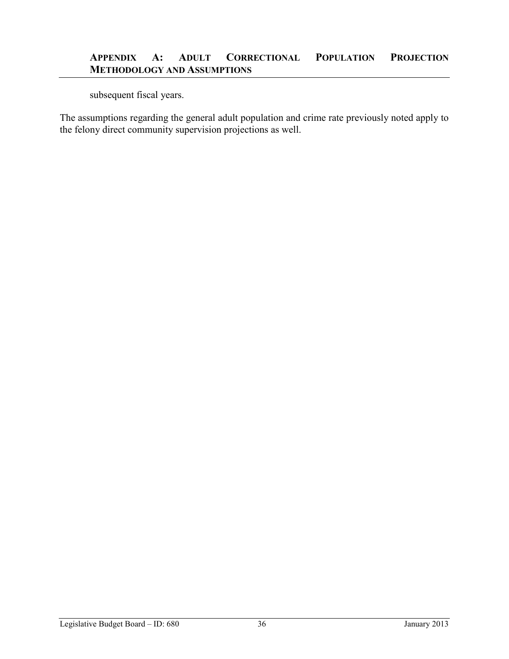subsequent fiscal years.

The assumptions regarding the general adult population and crime rate previously noted apply to the felony direct community supervision projections as well.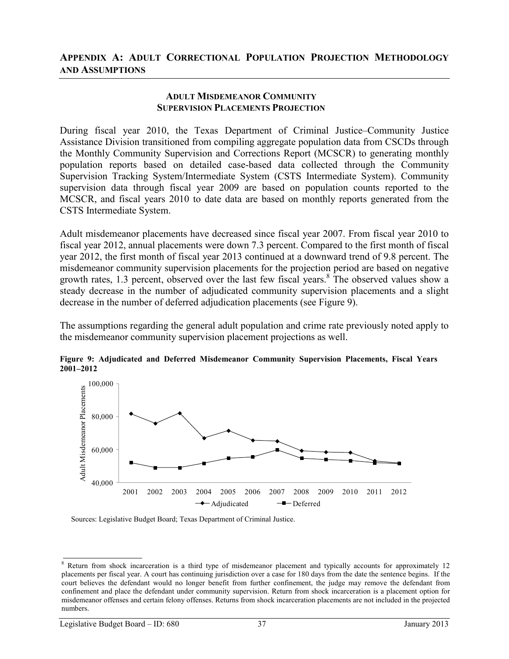#### **ADULT MISDEMEANOR COMMUNITY SUPERVISION PLACEMENTS PROJECTION**

During fiscal year 2010, the Texas Department of Criminal Justice–Community Justice Assistance Division transitioned from compiling aggregate population data from CSCDs through the Monthly Community Supervision and Corrections Report (MCSCR) to generating monthly population reports based on detailed case-based data collected through the Community Supervision Tracking System/Intermediate System (CSTS Intermediate System). Community supervision data through fiscal year 2009 are based on population counts reported to the MCSCR, and fiscal years 2010 to date data are based on monthly reports generated from the CSTS Intermediate System.

Adult misdemeanor placements have decreased since fiscal year 2007. From fiscal year 2010 to fiscal year 2012, annual placements were down 7.3 percent. Compared to the first month of fiscal year 2012, the first month of fiscal year 2013 continued at a downward trend of 9.8 percent. The misdemeanor community supervision placements for the projection period are based on negative growth rates, 1.3 percent, observed over the last few fiscal years.<sup>8</sup> The observed values show a steady decrease in the number of adjudicated community supervision placements and a slight decrease in the number of deferred adjudication placements (see Figure 9).

The assumptions regarding the general adult population and crime rate previously noted apply to the misdemeanor community supervision placement projections as well.



**Figure 9: Adjudicated and Deferred Misdemeanor Community Supervision Placements, Fiscal Years 2001–2012**

<sup>&</sup>lt;sup>8</sup> Return from shock incarceration is a third type of misdemeanor placement and typically accounts for approximately 12 placements per fiscal year. A court has continuing jurisdiction over a case for 180 days from the date the sentence begins. If the court believes the defendant would no longer benefit from further confinement, the judge may remove the defendant from confinement and place the defendant under community supervision. Return from shock incarceration is a placement option for misdemeanor offenses and certain felony offenses. Returns from shock incarceration placements are not included in the projected numbers.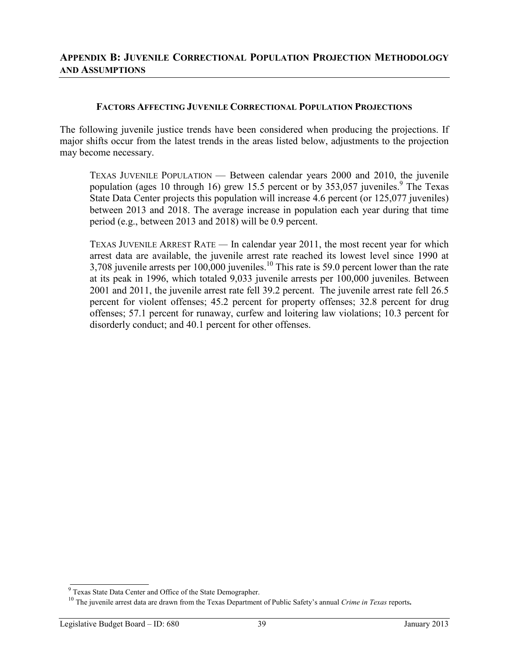#### **FACTORS AFFECTING JUVENILE CORRECTIONAL POPULATION PROJECTIONS**

The following juvenile justice trends have been considered when producing the projections. If major shifts occur from the latest trends in the areas listed below, adjustments to the projection may become necessary.

TEXAS JUVENILE POPULATION — Between calendar years 2000 and 2010, the juvenile population (ages 10 through 16) grew 15.5 percent or by 353,057 juveniles.<sup>9</sup> The Texas State Data Center projects this population will increase 4.6 percent (or 125,077 juveniles) between 2013 and 2018. The average increase in population each year during that time period (e.g., between 2013 and 2018) will be 0.9 percent.

TEXAS JUVENILE ARREST RATE *—* In calendar year 2011, the most recent year for which arrest data are available, the juvenile arrest rate reached its lowest level since 1990 at 3,708 juvenile arrests per 100,000 juveniles.<sup>10</sup> This rate is 59.0 percent lower than the rate at its peak in 1996, which totaled 9,033 juvenile arrests per 100,000 juveniles. Between 2001 and 2011, the juvenile arrest rate fell 39.2 percent. The juvenile arrest rate fell 26.5 percent for violent offenses; 45.2 percent for property offenses; 32.8 percent for drug offenses; 57.1 percent for runaway, curfew and loitering law violations; 10.3 percent for disorderly conduct; and 40.1 percent for other offenses.

<sup>&</sup>lt;sup>9</sup> Texas State Data Center and Office of the State Demographer.<br><sup>10</sup> The iuvenile arrest data are drawn from the Texas Department of Public Safety's annual *Crime in Texas* reports.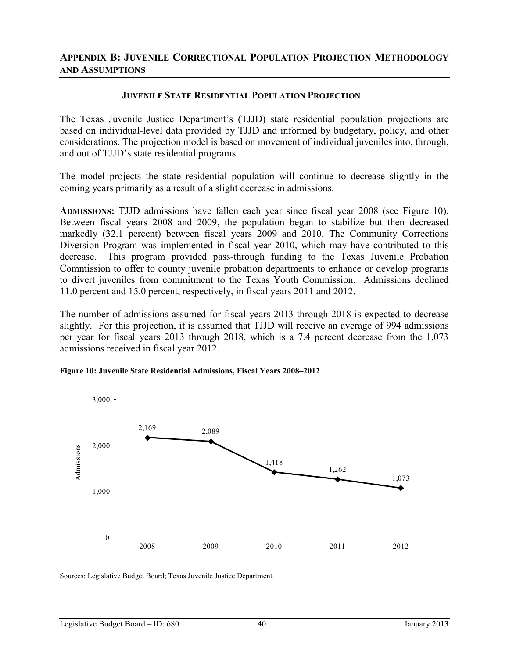#### **JUVENILE STATE RESIDENTIAL POPULATION PROJECTION**

The Texas Juvenile Justice Department's (TJJD) state residential population projections are based on individual-level data provided by TJJD and informed by budgetary, policy, and other considerations. The projection model is based on movement of individual juveniles into, through, and out of TJJD's state residential programs.

The model projects the state residential population will continue to decrease slightly in the coming years primarily as a result of a slight decrease in admissions.

**ADMISSIONS:** TJJD admissions have fallen each year since fiscal year 2008 (see Figure 10). Between fiscal years 2008 and 2009, the population began to stabilize but then decreased markedly (32.1 percent) between fiscal years 2009 and 2010. The Community Corrections Diversion Program was implemented in fiscal year 2010, which may have contributed to this decrease. This program provided pass-through funding to the Texas Juvenile Probation Commission to offer to county juvenile probation departments to enhance or develop programs to divert juveniles from commitment to the Texas Youth Commission. Admissions declined 11.0 percent and 15.0 percent, respectively, in fiscal years 2011 and 2012.

The number of admissions assumed for fiscal years 2013 through 2018 is expected to decrease slightly. For this projection, it is assumed that TJJD will receive an average of 994 admissions per year for fiscal years 2013 through 2018, which is a 7.4 percent decrease from the 1,073 admissions received in fiscal year 2012.

#### **Figure 10: Juvenile State Residential Admissions, Fiscal Years 2008–2012**



Sources: Legislative Budget Board; Texas Juvenile Justice Department.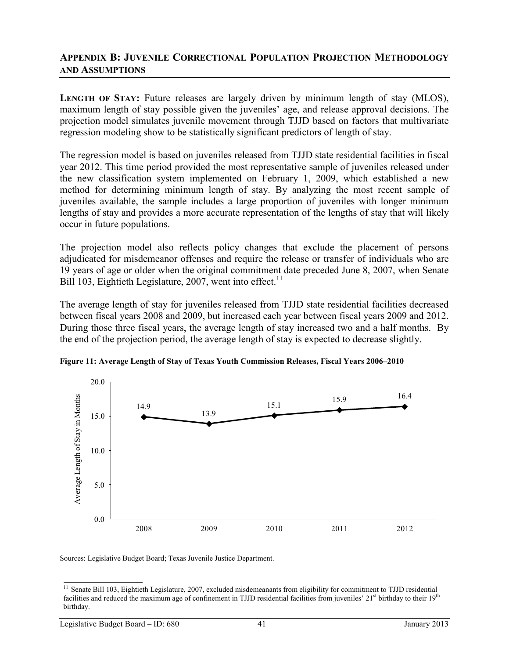**LENGTH OF STAY:** Future releases are largely driven by minimum length of stay (MLOS), maximum length of stay possible given the juveniles' age, and release approval decisions. The projection model simulates juvenile movement through TJJD based on factors that multivariate regression modeling show to be statistically significant predictors of length of stay.

The regression model is based on juveniles released from TJJD state residential facilities in fiscal year 2012. This time period provided the most representative sample of juveniles released under the new classification system implemented on February 1, 2009, which established a new method for determining minimum length of stay. By analyzing the most recent sample of juveniles available, the sample includes a large proportion of juveniles with longer minimum lengths of stay and provides a more accurate representation of the lengths of stay that will likely occur in future populations.

The projection model also reflects policy changes that exclude the placement of persons adjudicated for misdemeanor offenses and require the release or transfer of individuals who are 19 years of age or older when the original commitment date preceded June 8, 2007, when Senate Bill 103, Eightieth Legislature, 2007, went into effect.<sup>11</sup>

The average length of stay for juveniles released from TJJD state residential facilities decreased between fiscal years 2008 and 2009, but increased each year between fiscal years 2009 and 2012. During those three fiscal years, the average length of stay increased two and a half months. By the end of the projection period, the average length of stay is expected to decrease slightly.



**Figure 11: Average Length of Stay of Texas Youth Commission Releases, Fiscal Years 2006–2010**

Sources: Legislative Budget Board; Texas Juvenile Justice Department.

 $\frac{11}{11}$  Senate Bill 103, Eightieth Legislature, 2007, excluded misdemeanants from eligibility for commitment to TJJD residential facilities and reduced the maximum age of confinement in TJJD residential facilities from juveniles'  $21<sup>st</sup>$  birthday to their  $19<sup>th</sup>$ birthday.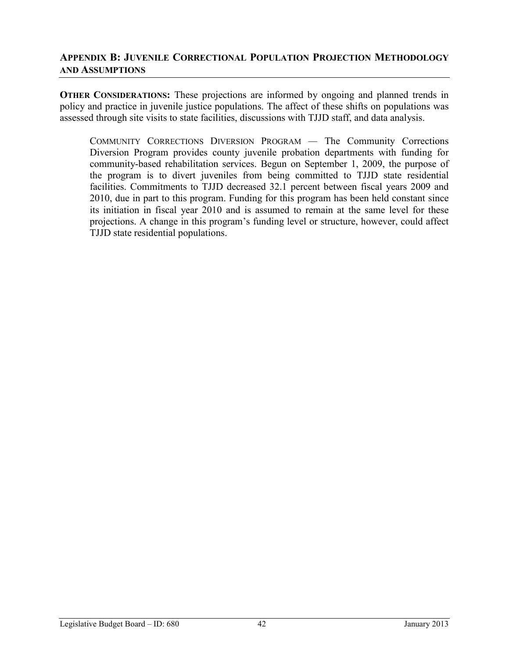**OTHER CONSIDERATIONS:** These projections are informed by ongoing and planned trends in policy and practice in juvenile justice populations. The affect of these shifts on populations was assessed through site visits to state facilities, discussions with TJJD staff, and data analysis.

COMMUNITY CORRECTIONS DIVERSION PROGRAM *—* The Community Corrections Diversion Program provides county juvenile probation departments with funding for community-based rehabilitation services. Begun on September 1, 2009, the purpose of the program is to divert juveniles from being committed to TJJD state residential facilities. Commitments to TJJD decreased 32.1 percent between fiscal years 2009 and 2010, due in part to this program. Funding for this program has been held constant since its initiation in fiscal year 2010 and is assumed to remain at the same level for these projections. A change in this program's funding level or structure, however, could affect TJJD state residential populations.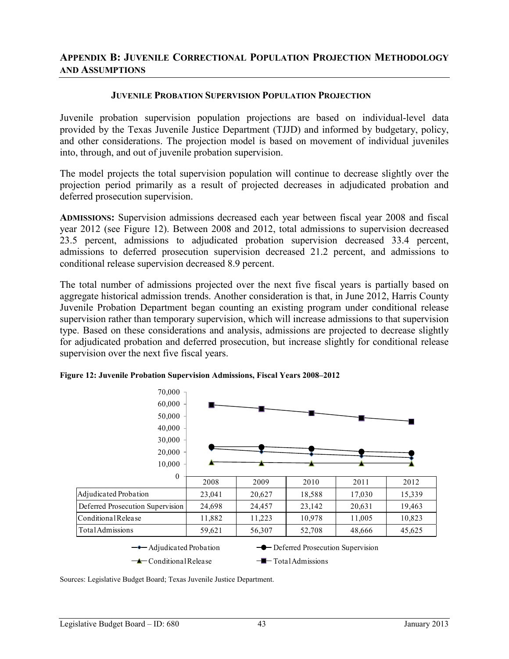#### **JUVENILE PROBATION SUPERVISION POPULATION PROJECTION**

Juvenile probation supervision population projections are based on individual-level data provided by the Texas Juvenile Justice Department (TJJD) and informed by budgetary, policy, and other considerations. The projection model is based on movement of individual juveniles into, through, and out of juvenile probation supervision.

The model projects the total supervision population will continue to decrease slightly over the projection period primarily as a result of projected decreases in adjudicated probation and deferred prosecution supervision.

**ADMISSIONS:** Supervision admissions decreased each year between fiscal year 2008 and fiscal year 2012 (see Figure 12). Between 2008 and 2012, total admissions to supervision decreased 23.5 percent, admissions to adjudicated probation supervision decreased 33.4 percent, admissions to deferred prosecution supervision decreased 21.2 percent, and admissions to conditional release supervision decreased 8.9 percent.

The total number of admissions projected over the next five fiscal years is partially based on aggregate historical admission trends. Another consideration is that, in June 2012, Harris County Juvenile Probation Department began counting an existing program under conditional release supervision rather than temporary supervision, which will increase admissions to that supervision type. Based on these considerations and analysis, admissions are projected to decrease slightly for adjudicated probation and deferred prosecution, but increase slightly for conditional release supervision over the next five fiscal years.



**Figure 12: Juvenile Probation Supervision Admissions, Fiscal Years 2008–2012**

Sources: Legislative Budget Board; Texas Juvenile Justice Department.